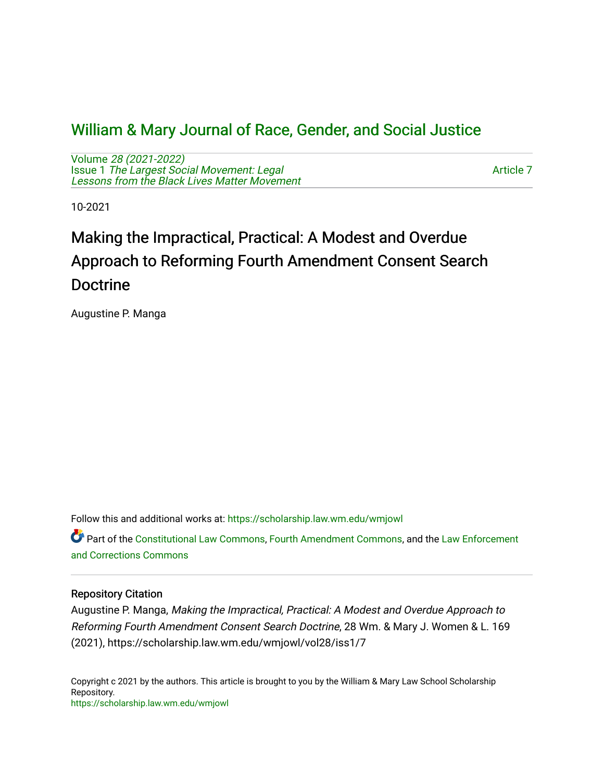## [William & Mary Journal of Race, Gender, and Social Justice](https://scholarship.law.wm.edu/wmjowl)

Volume [28 \(2021-2022\)](https://scholarship.law.wm.edu/wmjowl/vol28)  Issue 1 [The Largest Social Movement: Legal](https://scholarship.law.wm.edu/wmjowl/vol28/iss1) [Lessons from the Black Lives Matter Movement](https://scholarship.law.wm.edu/wmjowl/vol28/iss1) 

[Article 7](https://scholarship.law.wm.edu/wmjowl/vol28/iss1/7) 

10-2021

# Making the Impractical, Practical: A Modest and Overdue Approach to Reforming Fourth Amendment Consent Search Doctrine

Augustine P. Manga

Follow this and additional works at: [https://scholarship.law.wm.edu/wmjowl](https://scholarship.law.wm.edu/wmjowl?utm_source=scholarship.law.wm.edu%2Fwmjowl%2Fvol28%2Fiss1%2F7&utm_medium=PDF&utm_campaign=PDFCoverPages) 

Part of the [Constitutional Law Commons,](http://network.bepress.com/hgg/discipline/589?utm_source=scholarship.law.wm.edu%2Fwmjowl%2Fvol28%2Fiss1%2F7&utm_medium=PDF&utm_campaign=PDFCoverPages) [Fourth Amendment Commons,](http://network.bepress.com/hgg/discipline/1180?utm_source=scholarship.law.wm.edu%2Fwmjowl%2Fvol28%2Fiss1%2F7&utm_medium=PDF&utm_campaign=PDFCoverPages) and the [Law Enforcement](http://network.bepress.com/hgg/discipline/854?utm_source=scholarship.law.wm.edu%2Fwmjowl%2Fvol28%2Fiss1%2F7&utm_medium=PDF&utm_campaign=PDFCoverPages)  [and Corrections Commons](http://network.bepress.com/hgg/discipline/854?utm_source=scholarship.law.wm.edu%2Fwmjowl%2Fvol28%2Fiss1%2F7&utm_medium=PDF&utm_campaign=PDFCoverPages)

## Repository Citation

Augustine P. Manga, Making the Impractical, Practical: A Modest and Overdue Approach to Reforming Fourth Amendment Consent Search Doctrine, 28 Wm. & Mary J. Women & L. 169 (2021), https://scholarship.law.wm.edu/wmjowl/vol28/iss1/7

Copyright c 2021 by the authors. This article is brought to you by the William & Mary Law School Scholarship Repository. <https://scholarship.law.wm.edu/wmjowl>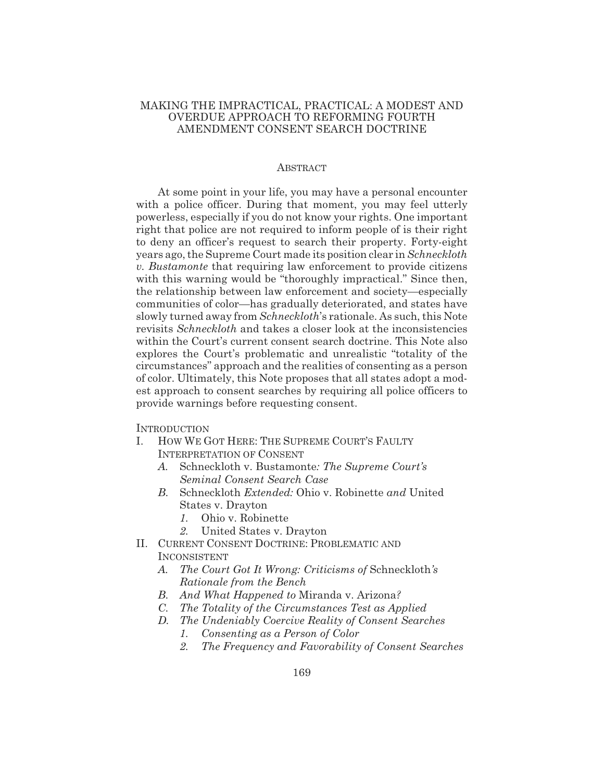## MAKING THE IMPRACTICAL, PRACTICAL: A MODEST AND OVERDUE APPROACH TO REFORMING FOURTH AMENDMENT CONSENT SEARCH DOCTRINE

#### ABSTRACT

At some point in your life, you may have a personal encounter with a police officer. During that moment, you may feel utterly powerless, especially if you do not know your rights. One important right that police are not required to inform people of is their right to deny an officer's request to search their property. Forty-eight years ago, the Supreme Court made its position clear in *Schneckloth v. Bustamonte* that requiring law enforcement to provide citizens with this warning would be "thoroughly impractical." Since then, the relationship between law enforcement and society—especially communities of color—has gradually deteriorated, and states have slowly turned away from *Schneckloth*'s rationale. As such, this Note revisits *Schneckloth* and takes a closer look at the inconsistencies within the Court's current consent search doctrine. This Note also explores the Court's problematic and unrealistic "totality of the circumstances" approach and the realities of consenting as a person of color. Ultimately, this Note proposes that all states adopt a modest approach to consent searches by requiring all police officers to provide warnings before requesting consent.

**INTRODUCTION** 

- I. HOW WE GOT HERE: THE SUPREME COURT'S FAULTY INTERPRETATION OF CONSENT
	- *A.* Schneckloth v. Bustamonte*: The Supreme Court's Seminal Consent Search Case*
	- *B.* Schneckloth *Extended:* Ohio v. Robinette *and* United States v. Drayton
		- *1.* Ohio v. Robinette
		- *2.* United States v. Drayton
- II. CURRENT CONSENT DOCTRINE: PROBLEMATIC AND INCONSISTENT
	- *A. The Court Got It Wrong: Criticisms of* Schneckloth*'s Rationale from the Bench*
	- *B. And What Happened to* Miranda v. Arizona*?*
	- *C. The Totality of the Circumstances Test as Applied*
	- *D. The Undeniably Coercive Reality of Consent Searches*
		- *1. Consenting as a Person of Color*
		- *2. The Frequency and Favorability of Consent Searches*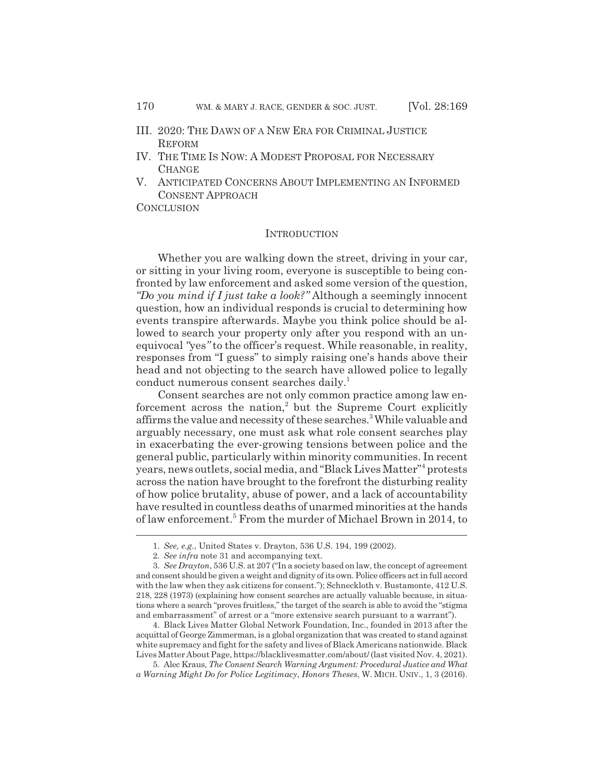- III. 2020: THE DAWN OF A NEW ERA FOR CRIMINAL JUSTICE **REFORM**
- IV. THE TIME IS NOW:AMODEST PROPOSAL FOR NECESSARY **CHANGE**
- V. ANTICIPATED CONCERNS ABOUT IMPLEMENTING AN INFORMED CONSENT APPROACH

**CONCLUSION** 

#### **INTRODUCTION**

Whether you are walking down the street, driving in your car, or sitting in your living room, everyone is susceptible to being confronted by law enforcement and asked some version of the question, *"Do you mind if I just take a look?"* Although a seemingly innocent question, how an individual responds is crucial to determining how events transpire afterwards. Maybe you think police should be allowed to search your property only after you respond with an unequivocal *"*yes*"* to the officer's request. While reasonable, in reality, responses from "I guess" to simply raising one's hands above their head and not objecting to the search have allowed police to legally conduct numerous consent searches daily.<sup>1</sup>

Consent searches are not only common practice among law enforcement across the nation,<sup>2</sup> but the Supreme Court explicitly affirms the value and necessity of these searches.<sup>3</sup> While valuable and arguably necessary, one must ask what role consent searches play in exacerbating the ever-growing tensions between police and the general public, particularly within minority communities. In recent years, news outlets, social media, and "Black Lives Matter"<sup>4</sup> protests across the nation have brought to the forefront the disturbing reality of how police brutality, abuse of power, and a lack of accountability have resulted in countless deaths of unarmed minorities at the hands of law enforcement.<sup>5</sup> From the murder of Michael Brown in 2014, to

4. Black Lives Matter Global Network Foundation, Inc., founded in 2013 after the acquittal of George Zimmerman, is a global organization that was created to stand against white supremacy and fight for the safety and lives of Black Americans nationwide. Black Lives Matter About Page, https://blacklivesmatter.com/about/ (last visited Nov. 4, 2021).

5. Alec Kraus, *The Consent Search Warning Argument: Procedural Justice and What a Warning Might Do for Police Legitimacy*, *Honors Theses*, W. MICH. UNIV., 1, 3 (2016).

<sup>1.</sup> *See, e.g.*, United States v. Drayton, 536 U.S. 194, 199 (2002).

<sup>2.</sup> *See infra* note 31 and accompanying text.

<sup>3.</sup> *See Drayton*, 536 U.S. at 207 ("In a society based on law, the concept of agreement and consent should be given a weight and dignity of its own. Police officers act in full accord with the law when they ask citizens for consent."); Schneckloth v. Bustamonte, 412 U.S. 218, 228 (1973) (explaining how consent searches are actually valuable because, in situations where a search "proves fruitless," the target of the search is able to avoid the "stigma and embarrassment" of arrest or a "more extensive search pursuant to a warrant").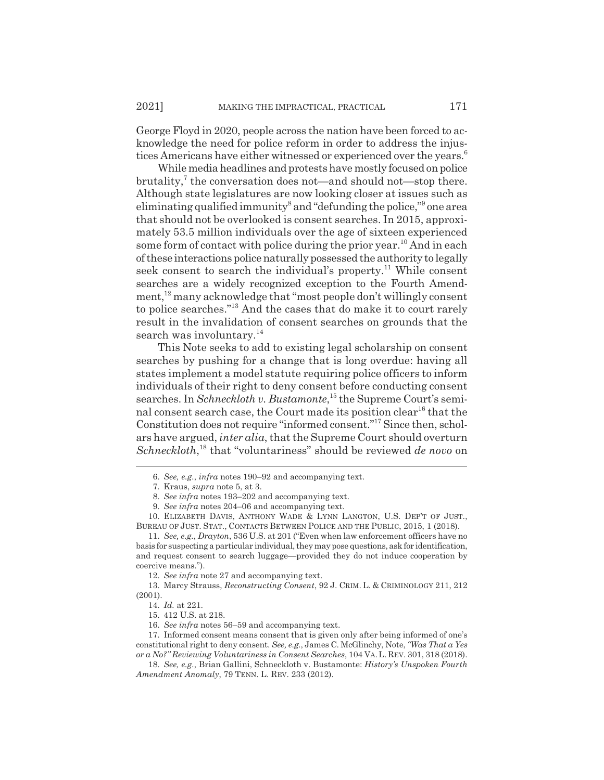George Floyd in 2020, people across the nation have been forced to acknowledge the need for police reform in order to address the injustices Americans have either witnessed or experienced over the years.<sup>6</sup>

While media headlines and protests have mostly focused on police brutality,<sup>7</sup> the conversation does not—and should not—stop there. Although state legislatures are now looking closer at issues such as eliminating qualified immunity<sup>8</sup> and "defunding the police,"<sup>9</sup> one area that should not be overlooked is consent searches. In 2015, approximately 53.5 million individuals over the age of sixteen experienced some form of contact with police during the prior year.<sup>10</sup> And in each of these interactions police naturally possessed the authority to legally seek consent to search the individual's property.<sup>11</sup> While consent searches are a widely recognized exception to the Fourth Amendment,<sup>12</sup> many acknowledge that "most people don't willingly consent to police searches."13 And the cases that do make it to court rarely result in the invalidation of consent searches on grounds that the search was involuntary.<sup>14</sup>

This Note seeks to add to existing legal scholarship on consent searches by pushing for a change that is long overdue: having all states implement a model statute requiring police officers to inform individuals of their right to deny consent before conducting consent searches. In *Schneckloth v. Bustamonte*,<sup>15</sup> the Supreme Court's seminal consent search case, the Court made its position clear<sup>16</sup> that the Constitution does not require "informed consent."17 Since then, scholars have argued, *inter alia*, that the Supreme Court should overturn Schneckloth,<sup>18</sup> that "voluntariness" should be reviewed *de novo* on

10. ELIZABETH DAVIS, ANTHONY WADE & LYNN LANGTON, U.S. DEP'T OF JUST., BUREAU OF JUST. STAT., CONTACTS BETWEEN POLICE AND THE PUBLIC, 2015, 1 (2018).

12. *See infra* note 27 and accompanying text.

13. Marcy Strauss, *Reconstructing Consent*, 92 J. CRIM. L. & CRIMINOLOGY 211, 212 (2001).

<sup>6.</sup> *See, e.g.*, *infra* notes 190–92 and accompanying text.

<sup>7.</sup> Kraus, *supra* note 5, at 3.

<sup>8.</sup> *See infra* notes 193–202 and accompanying text.

<sup>9.</sup> *See infra* notes 204–06 and accompanying text.

<sup>11.</sup> *See, e.g.*, *Drayton*, 536 U.S. at 201 ("Even when law enforcement officers have no basis for suspecting a particular individual, they may pose questions, ask for identification, and request consent to search luggage—provided they do not induce cooperation by coercive means.").

<sup>14.</sup> *Id.* at 221.

<sup>15. 412</sup> U.S. at 218.

<sup>16.</sup> *See infra* notes 56–59 and accompanying text.

<sup>17.</sup> Informed consent means consent that is given only after being informed of one's constitutional right to deny consent. *See, e.g.*, James C. McGlinchy, Note, *"Was That a Yes or a No?" Reviewing Voluntariness in Consent Searches*, 104 VA. L. REV. 301, 318 (2018).

<sup>18.</sup> *See, e.g.*, Brian Gallini, Schneckloth v. Bustamonte: *History's Unspoken Fourth Amendment Anomaly*, 79 TENN. L. REV. 233 (2012).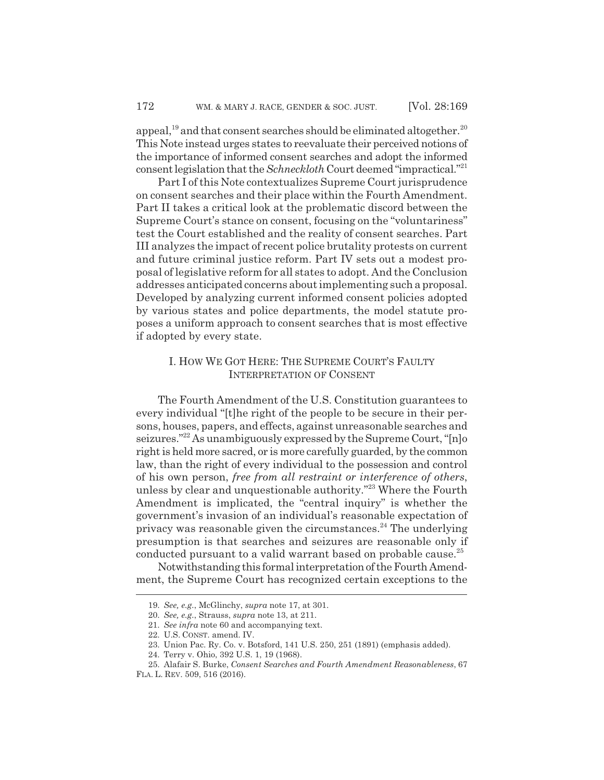appeal,<sup>19</sup> and that consent searches should be eliminated altogether.<sup>20</sup> This Note instead urges states to reevaluate their perceived notions of the importance of informed consent searches and adopt the informed consent legislation that the *Schneckloth* Court deemed "impractical."21

Part I of this Note contextualizes Supreme Court jurisprudence on consent searches and their place within the Fourth Amendment. Part II takes a critical look at the problematic discord between the Supreme Court's stance on consent, focusing on the "voluntariness" test the Court established and the reality of consent searches. Part III analyzes the impact of recent police brutality protests on current and future criminal justice reform. Part IV sets out a modest proposal of legislative reform for all states to adopt. And the Conclusion addresses anticipated concerns about implementing such a proposal. Developed by analyzing current informed consent policies adopted by various states and police departments, the model statute proposes a uniform approach to consent searches that is most effective if adopted by every state.

## I. HOW WE GOT HERE: THE SUPREME COURT'S FAULTY INTERPRETATION OF CONSENT

The Fourth Amendment of the U.S. Constitution guarantees to every individual "[t]he right of the people to be secure in their persons, houses, papers, and effects, against unreasonable searches and seizures."22 As unambiguously expressed by the Supreme Court, "[n]o right is held more sacred, or is more carefully guarded, by the common law, than the right of every individual to the possession and control of his own person, *free from all restraint or interference of others*, unless by clear and unquestionable authority."23 Where the Fourth Amendment is implicated, the "central inquiry" is whether the government's invasion of an individual's reasonable expectation of privacy was reasonable given the circumstances.<sup>24</sup> The underlying presumption is that searches and seizures are reasonable only if conducted pursuant to a valid warrant based on probable cause.<sup>25</sup>

Notwithstanding this formal interpretation of the Fourth Amendment, the Supreme Court has recognized certain exceptions to the

<sup>19.</sup> *See, e.g.*, McGlinchy, *supra* note 17, at 301.

<sup>20.</sup> *See, e.g.*, Strauss, *supra* note 13, at 211.

<sup>21.</sup> *See infra* note 60 and accompanying text.

<sup>22.</sup> U.S. CONST. amend. IV.

<sup>23.</sup> Union Pac. Ry. Co. v. Botsford, 141 U.S. 250, 251 (1891) (emphasis added).

<sup>24.</sup> Terry v. Ohio, 392 U.S. 1, 19 (1968).

<sup>25.</sup> Alafair S. Burke, *Consent Searches and Fourth Amendment Reasonableness*, 67

FLA. L. REV. 509, 516 (2016).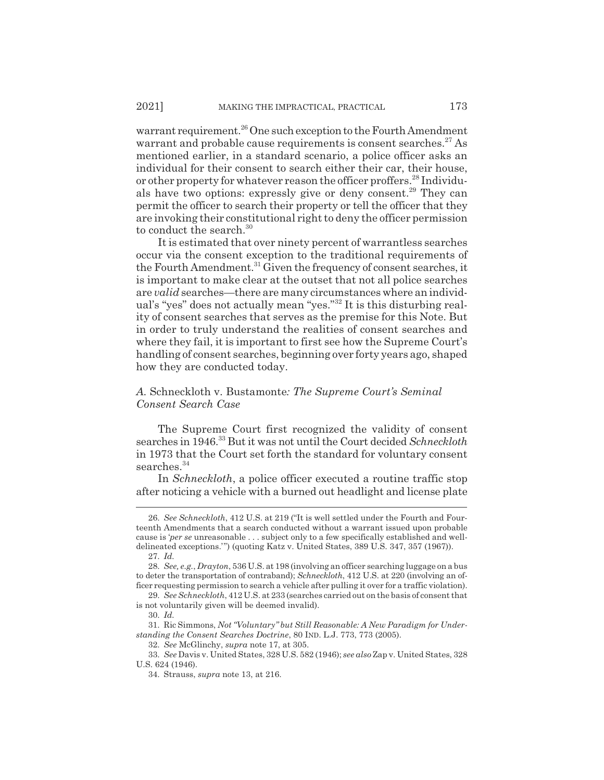warrant requirement.<sup>26</sup> One such exception to the Fourth Amendment warrant and probable cause requirements is consent searches.<sup>27</sup> As mentioned earlier, in a standard scenario, a police officer asks an individual for their consent to search either their car, their house, or other property for whatever reason the officer proffers.<sup>28</sup> Individuals have two options: expressly give or deny consent.<sup>29</sup> They can permit the officer to search their property or tell the officer that they are invoking their constitutional right to deny the officer permission to conduct the search.<sup>30</sup>

It is estimated that over ninety percent of warrantless searches occur via the consent exception to the traditional requirements of the Fourth Amendment.<sup>31</sup> Given the frequency of consent searches, it is important to make clear at the outset that not all police searches are *valid* searches—there are many circumstances where an individual's "yes" does not actually mean "yes."32 It is this disturbing reality of consent searches that serves as the premise for this Note. But in order to truly understand the realities of consent searches and where they fail, it is important to first see how the Supreme Court's handling of consent searches, beginning over forty years ago, shaped how they are conducted today.

## *A.* Schneckloth v. Bustamonte*: The Supreme Court's Seminal Consent Search Case*

The Supreme Court first recognized the validity of consent searches in 1946.33 But it was not until the Court decided *Schneckloth* in 1973 that the Court set forth the standard for voluntary consent searches.<sup>34</sup>

In *Schneckloth*, a police officer executed a routine traffic stop after noticing a vehicle with a burned out headlight and license plate

<sup>26.</sup> *See Schneckloth*, 412 U.S. at 219 ("It is well settled under the Fourth and Fourteenth Amendments that a search conducted without a warrant issued upon probable cause is '*per se* unreasonable . . . subject only to a few specifically established and welldelineated exceptions.'") (quoting Katz v. United States, 389 U.S. 347, 357 (1967)). 27. *Id.*

<sup>28.</sup> *See, e.g.*, *Drayton*, 536 U.S. at 198 (involving an officer searching luggage on a bus to deter the transportation of contraband); *Schneckloth*, 412 U.S. at 220 (involving an officer requesting permission to search a vehicle after pulling it over for a traffic violation).

<sup>29.</sup> *See Schneckloth*, 412 U.S. at 233 (searches carried out on the basis of consent that is not voluntarily given will be deemed invalid).

<sup>30.</sup> *Id.*

<sup>31.</sup> Ric Simmons, *Not "Voluntary" but Still Reasonable: A New Paradigm for Understanding the Consent Searches Doctrine*, 80 IND. L.J. 773, 773 (2005).

<sup>32.</sup> *See* McGlinchy, *supra* note 17, at 305.

<sup>33.</sup> *See* Davis v. United States, 328 U.S. 582 (1946); *see also* Zap v. United States, 328 U.S. 624 (1946).

<sup>34.</sup> Strauss, *supra* note 13, at 216.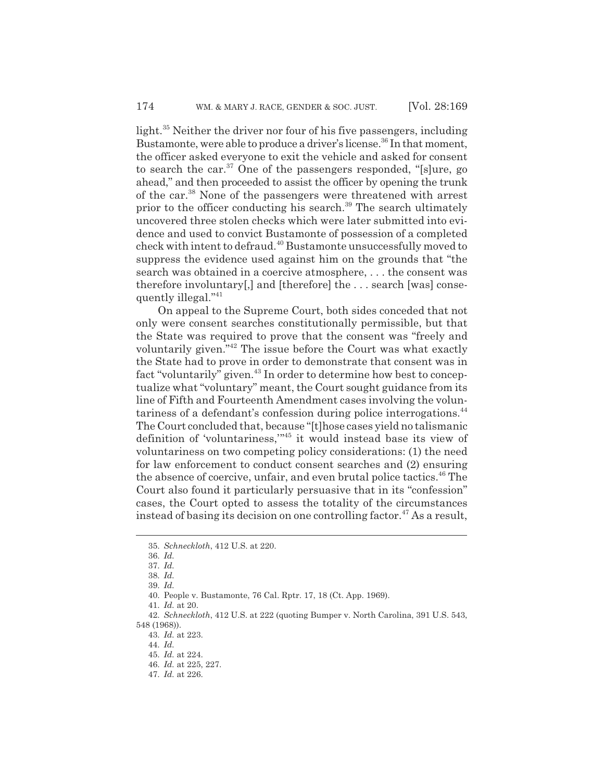light.35 Neither the driver nor four of his five passengers, including Bustamonte, were able to produce a driver's license.<sup>36</sup> In that moment, the officer asked everyone to exit the vehicle and asked for consent to search the car.<sup>37</sup> One of the passengers responded, "[s]ure, go ahead," and then proceeded to assist the officer by opening the trunk of the car.38 None of the passengers were threatened with arrest prior to the officer conducting his search.<sup>39</sup> The search ultimately uncovered three stolen checks which were later submitted into evidence and used to convict Bustamonte of possession of a completed check with intent to defraud.40 Bustamonte unsuccessfully moved to suppress the evidence used against him on the grounds that "the search was obtained in a coercive atmosphere, . . . the consent was therefore involuntary[,] and [therefore] the . . . search [was] consequently illegal."41

On appeal to the Supreme Court, both sides conceded that not only were consent searches constitutionally permissible, but that the State was required to prove that the consent was "freely and voluntarily given."42 The issue before the Court was what exactly the State had to prove in order to demonstrate that consent was in fact "voluntarily" given.<sup>43</sup> In order to determine how best to conceptualize what "voluntary" meant, the Court sought guidance from its line of Fifth and Fourteenth Amendment cases involving the voluntariness of a defendant's confession during police interrogations.<sup>44</sup> The Court concluded that, because "[t]hose cases yield no talismanic definition of 'voluntariness,'"45 it would instead base its view of voluntariness on two competing policy considerations: (1) the need for law enforcement to conduct consent searches and (2) ensuring the absence of coercive, unfair, and even brutal police tactics.<sup>46</sup> The Court also found it particularly persuasive that in its "confession" cases, the Court opted to assess the totality of the circumstances instead of basing its decision on one controlling factor.<sup>47</sup> As a result,

<sup>35.</sup> *Schneckloth*, 412 U.S. at 220.

<sup>36.</sup> *Id.*

<sup>37.</sup> *Id.*

<sup>38.</sup> *Id.*

<sup>39.</sup> *Id.*

<sup>40.</sup> People v. Bustamonte, 76 Cal. Rptr. 17, 18 (Ct. App. 1969).

<sup>41.</sup> *Id.* at 20.

<sup>42.</sup> *Schneckloth*, 412 U.S. at 222 (quoting Bumper v. North Carolina, 391 U.S. 543, 548 (1968)).

<sup>43.</sup> *Id.* at 223.

<sup>44.</sup> *Id.*

<sup>45.</sup> *Id.* at 224.

<sup>46.</sup> *Id.* at 225, 227.

<sup>47.</sup> *Id.* at 226.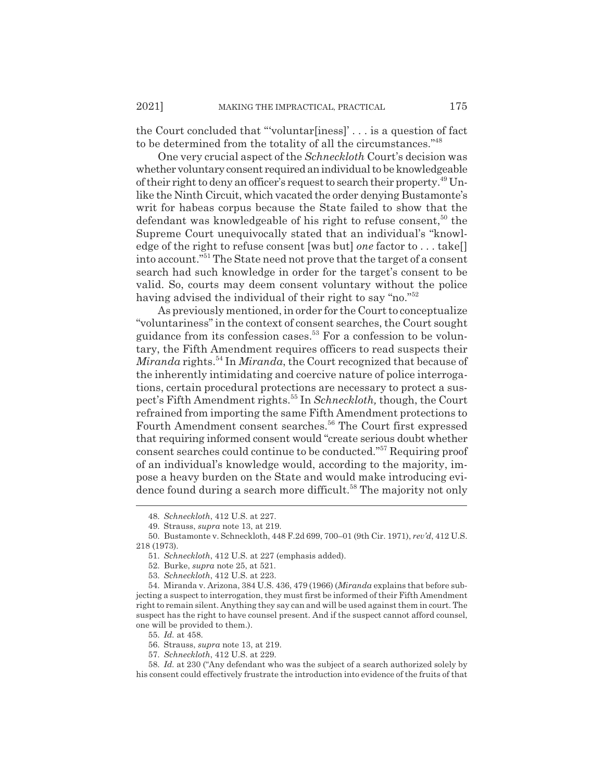the Court concluded that "'voluntar[iness]' . . . is a question of fact to be determined from the totality of all the circumstances."48

One very crucial aspect of the *Schneckloth* Court's decision was whether voluntary consent required an individual to be knowledgeable of their right to deny an officer's request to search their property.<sup>49</sup> Unlike the Ninth Circuit, which vacated the order denying Bustamonte's writ for habeas corpus because the State failed to show that the defendant was knowledgeable of his right to refuse consent,<sup>50</sup> the Supreme Court unequivocally stated that an individual's "knowledge of the right to refuse consent [was but] *one* factor to . . . take[] into account."51 The State need not prove that the target of a consent search had such knowledge in order for the target's consent to be valid. So, courts may deem consent voluntary without the police having advised the individual of their right to say "no."<sup>52</sup>

As previously mentioned, in order for the Court to conceptualize "voluntariness" in the context of consent searches, the Court sought guidance from its confession cases.53 For a confession to be voluntary, the Fifth Amendment requires officers to read suspects their *Miranda* rights.<sup>54</sup> In *Miranda*, the Court recognized that because of the inherently intimidating and coercive nature of police interrogations, certain procedural protections are necessary to protect a suspect's Fifth Amendment rights.55 In *Schneckloth,* though, the Court refrained from importing the same Fifth Amendment protections to Fourth Amendment consent searches.<sup>56</sup> The Court first expressed that requiring informed consent would "create serious doubt whether consent searches could continue to be conducted."57 Requiring proof of an individual's knowledge would, according to the majority, impose a heavy burden on the State and would make introducing evidence found during a search more difficult.<sup>58</sup> The majority not only

<sup>48.</sup> *Schneckloth*, 412 U.S. at 227.

<sup>49.</sup> Strauss, *supra* note 13, at 219.

<sup>50.</sup> Bustamonte v. Schneckloth, 448 F.2d 699, 700–01 (9th Cir. 1971), *rev'd*, 412 U.S. 218 (1973).

<sup>51.</sup> *Schneckloth*, 412 U.S. at 227 (emphasis added).

<sup>52.</sup> Burke, *supra* note 25, at 521.

<sup>53.</sup> *Schneckloth*, 412 U.S. at 223.

<sup>54.</sup> Miranda v. Arizona, 384 U.S. 436, 479 (1966) (*Miranda* explains that before subjecting a suspect to interrogation, they must first be informed of their Fifth Amendment right to remain silent. Anything they say can and will be used against them in court. The suspect has the right to have counsel present. And if the suspect cannot afford counsel, one will be provided to them.).

<sup>55.</sup> *Id.* at 458.

<sup>56.</sup> Strauss, *supra* note 13, at 219.

<sup>57.</sup> *Schneckloth*, 412 U.S. at 229.

<sup>58.</sup> *Id.* at 230 ("Any defendant who was the subject of a search authorized solely by his consent could effectively frustrate the introduction into evidence of the fruits of that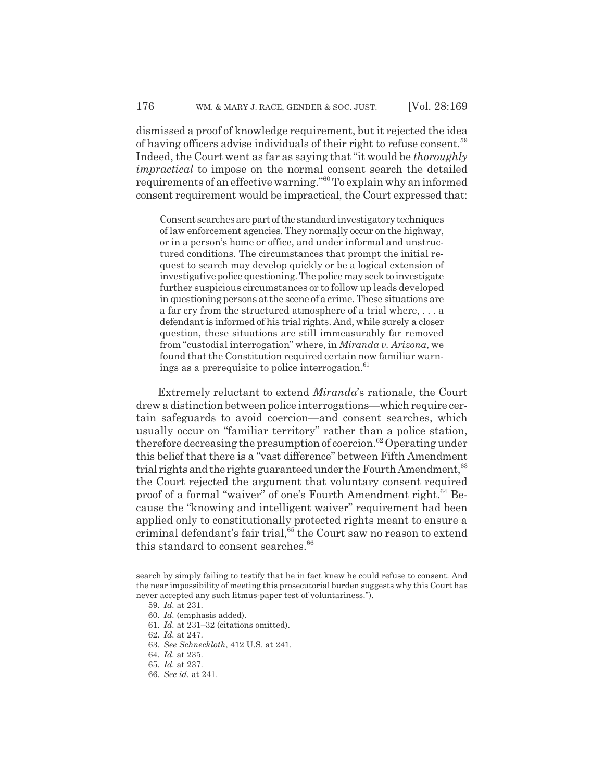dismissed a proof of knowledge requirement, but it rejected the idea of having officers advise individuals of their right to refuse consent.59 Indeed, the Court went as far as saying that "it would be *thoroughly impractical* to impose on the normal consent search the detailed requirements of an effective warning."60 To explain why an informed consent requirement would be impractical, the Court expressed that:

Consent searches are part of the standard investigatory techniques of law enforcement agencies. They normally occur on the highway, or in a person's home or office, and under informal and unstructured conditions. The circumstances that prompt the initial request to search may develop quickly or be a logical extension of investigative police questioning. The police may seek to investigate further suspicious circumstances or to follow up leads developed in questioning persons at the scene of a crime. These situations are a far cry from the structured atmosphere of a trial where, . . . a defendant is informed of his trial rights. And, while surely a closer question, these situations are still immeasurably far removed from "custodial interrogation" where, in *Miranda v. Arizona*, we found that the Constitution required certain now familiar warnings as a prerequisite to police interrogation. $61$ 

Extremely reluctant to extend *Miranda*'s rationale, the Court drew a distinction between police interrogations—which require certain safeguards to avoid coercion—and consent searches, which usually occur on "familiar territory" rather than a police station, therefore decreasing the presumption of coercion.<sup>62</sup> Operating under this belief that there is a "vast difference" between Fifth Amendment trial rights and the rights guaranteed under the Fourth Amendment,<sup>63</sup> the Court rejected the argument that voluntary consent required proof of a formal "waiver" of one's Fourth Amendment right.<sup>64</sup> Because the "knowing and intelligent waiver" requirement had been applied only to constitutionally protected rights meant to ensure a criminal defendant's fair trial,<sup>65</sup> the Court saw no reason to extend this standard to consent searches.<sup>66</sup>

search by simply failing to testify that he in fact knew he could refuse to consent. And the near impossibility of meeting this prosecutorial burden suggests why this Court has never accepted any such litmus-paper test of voluntariness.").

<sup>59.</sup> *Id.* at 231.

<sup>60.</sup> *Id.* (emphasis added).

<sup>61.</sup> *Id.* at 231–32 (citations omitted).

<sup>62.</sup> *Id.* at 247.

<sup>63.</sup> *See Schneckloth*, 412 U.S. at 241.

<sup>64.</sup> *Id.* at 235.

<sup>65.</sup> *Id.* at 237.

<sup>66.</sup> *See id.* at 241.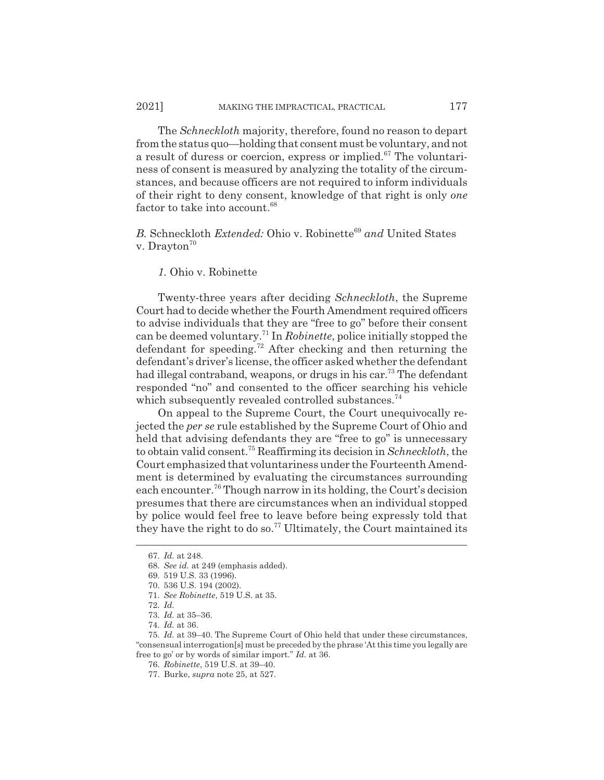The *Schneckloth* majority, therefore, found no reason to depart from the status quo—holding that consent must be voluntary, and not a result of duress or coercion, express or implied.<sup>67</sup> The voluntariness of consent is measured by analyzing the totality of the circumstances, and because officers are not required to inform individuals of their right to deny consent, knowledge of that right is only *one* factor to take into account.<sup>68</sup>

*B.* Schneckloth *Extended:* Ohio v. Robinette<sup>69</sup> and United States v. Drayton<sup>70</sup>

*1.* Ohio v. Robinette

Twenty-three years after deciding *Schneckloth*, the Supreme Court had to decide whether the Fourth Amendment required officers to advise individuals that they are "free to go" before their consent can be deemed voluntary.71 In *Robinette*, police initially stopped the defendant for speeding.72 After checking and then returning the defendant's driver's license, the officer asked whether the defendant had illegal contraband, weapons, or drugs in his car.<sup>73</sup> The defendant responded "no" and consented to the officer searching his vehicle which subsequently revealed controlled substances.<sup>74</sup>

On appeal to the Supreme Court, the Court unequivocally rejected the *per se* rule established by the Supreme Court of Ohio and held that advising defendants they are "free to go" is unnecessary to obtain valid consent.75 Reaffirming its decision in *Schneckloth*, the Court emphasized that voluntariness under the Fourteenth Amendment is determined by evaluating the circumstances surrounding each encounter.76 Though narrow in its holding, the Court's decision presumes that there are circumstances when an individual stopped by police would feel free to leave before being expressly told that they have the right to do so.<sup>77</sup> Ultimately, the Court maintained its

<sup>67.</sup> *Id.* at 248.

<sup>68.</sup> *See id.* at 249 (emphasis added).

<sup>69. 519</sup> U.S. 33 (1996).

<sup>70. 536</sup> U.S. 194 (2002).

<sup>71.</sup> *See Robinette*, 519 U.S. at 35.

<sup>72.</sup> *Id.*

<sup>73.</sup> *Id.* at 35–36.

<sup>74.</sup> *Id.* at 36.

<sup>75.</sup> *Id.* at 39–40. The Supreme Court of Ohio held that under these circumstances, "consensual interrogation[s] must be preceded by the phrase 'At this time you legally are free to go' or by words of similar import." *Id.* at 36.

<sup>76.</sup> *Robinette*, 519 U.S. at 39–40.

<sup>77.</sup> Burke, *supra* note 25, at 527.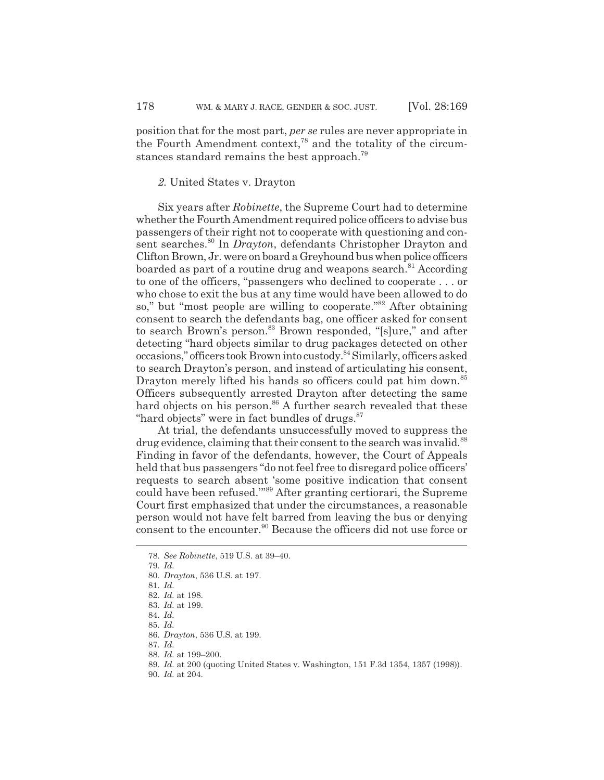position that for the most part, *per se* rules are never appropriate in the Fourth Amendment context, $78$  and the totality of the circumstances standard remains the best approach.79

#### *2.* United States v. Drayton

Six years after *Robinette*, the Supreme Court had to determine whether the Fourth Amendment required police officers to advise bus passengers of their right not to cooperate with questioning and consent searches.<sup>80</sup> In *Drayton*, defendants Christopher Drayton and Clifton Brown, Jr. were on board a Greyhound bus when police officers boarded as part of a routine drug and weapons search.<sup>81</sup> According to one of the officers, "passengers who declined to cooperate . . . or who chose to exit the bus at any time would have been allowed to do so," but "most people are willing to cooperate."<sup>82</sup> After obtaining consent to search the defendants bag, one officer asked for consent to search Brown's person.<sup>83</sup> Brown responded, "[s]ure," and after detecting "hard objects similar to drug packages detected on other occasions," officers took Brown into custody.84 Similarly, officers asked to search Drayton's person, and instead of articulating his consent, Drayton merely lifted his hands so officers could pat him down.<sup>85</sup> Officers subsequently arrested Drayton after detecting the same hard objects on his person.<sup>86</sup> A further search revealed that these "hard objects" were in fact bundles of drugs.<sup>87</sup>

At trial, the defendants unsuccessfully moved to suppress the drug evidence, claiming that their consent to the search was invalid.<sup>88</sup> Finding in favor of the defendants, however, the Court of Appeals held that bus passengers "do not feel free to disregard police officers' requests to search absent 'some positive indication that consent could have been refused.'"89 After granting certiorari, the Supreme Court first emphasized that under the circumstances, a reasonable person would not have felt barred from leaving the bus or denying consent to the encounter.<sup>90</sup> Because the officers did not use force or

<sup>78.</sup> *See Robinette*, 519 U.S. at 39–40.

<sup>79.</sup> *Id.*

<sup>80.</sup> *Drayton*, 536 U.S. at 197.

<sup>81.</sup> *Id.*

<sup>82.</sup> *Id.* at 198.

<sup>83.</sup> *Id.* at 199.

<sup>84.</sup> *Id.*

<sup>85.</sup> *Id.*

<sup>86.</sup> *Drayton*, 536 U.S. at 199.

<sup>87.</sup> *Id.*

<sup>88.</sup> *Id.* at 199–200.

<sup>89.</sup> *Id.* at 200 (quoting United States v. Washington, 151 F.3d 1354, 1357 (1998)).

<sup>90.</sup> *Id.* at 204.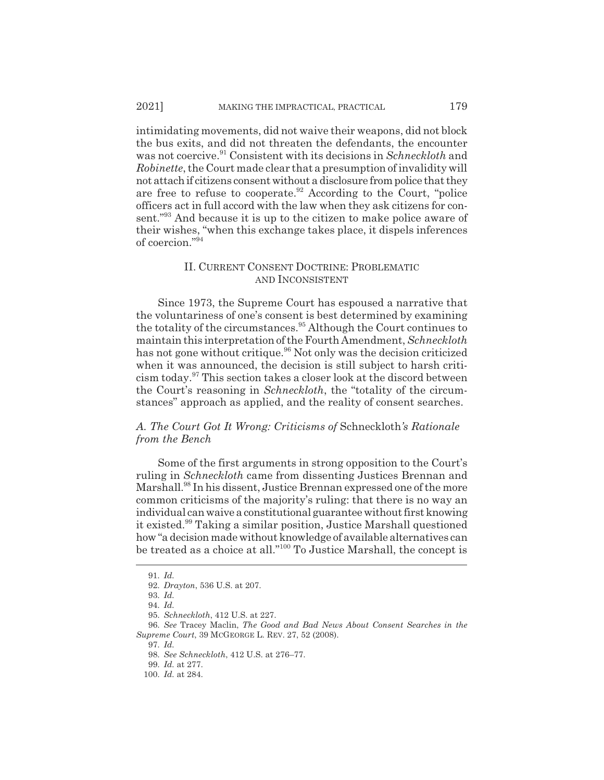intimidating movements, did not waive their weapons, did not block the bus exits, and did not threaten the defendants, the encounter was not coercive.<sup>91</sup> Consistent with its decisions in *Schneckloth* and *Robinette*, the Court made clear that a presumption of invalidity will not attach if citizens consent without a disclosure from police that they are free to refuse to cooperate.<sup>92</sup> According to the Court, "police" officers act in full accord with the law when they ask citizens for consent."93 And because it is up to the citizen to make police aware of their wishes, "when this exchange takes place, it dispels inferences of coercion."94

## II. CURRENT CONSENT DOCTRINE: PROBLEMATIC AND INCONSISTENT

Since 1973, the Supreme Court has espoused a narrative that the voluntariness of one's consent is best determined by examining the totality of the circumstances.<sup>95</sup> Although the Court continues to maintain this interpretation of the Fourth Amendment, *Schneckloth* has not gone without critique.<sup>96</sup> Not only was the decision criticized when it was announced, the decision is still subject to harsh criticism today.97 This section takes a closer look at the discord between the Court's reasoning in *Schneckloth*, the "totality of the circumstances" approach as applied, and the reality of consent searches.

## *A. The Court Got It Wrong: Criticisms of* Schneckloth*'s Rationale from the Bench*

Some of the first arguments in strong opposition to the Court's ruling in *Schneckloth* came from dissenting Justices Brennan and Marshall.<sup>98</sup> In his dissent, Justice Brennan expressed one of the more common criticisms of the majority's ruling: that there is no way an individual can waive a constitutional guarantee without first knowing it existed.<sup>99</sup> Taking a similar position, Justice Marshall questioned how "a decision made without knowledge of available alternatives can be treated as a choice at all."100 To Justice Marshall, the concept is

<sup>91.</sup> *Id.*

<sup>92.</sup> *Drayton*, 536 U.S. at 207.

<sup>93.</sup> *Id.*

<sup>94.</sup> *Id.*

<sup>95.</sup> *Schneckloth*, 412 U.S. at 227.

<sup>96.</sup> *See* Tracey Maclin, *The Good and Bad News About Consent Searches in the Supreme Court*, 39 MCGEORGE L. REV. 27, 52 (2008).

<sup>97.</sup> *Id.*

<sup>98.</sup> *See Schneckloth*, 412 U.S. at 276–77.

<sup>99.</sup> *Id.* at 277.

<sup>100.</sup> *Id.* at 284.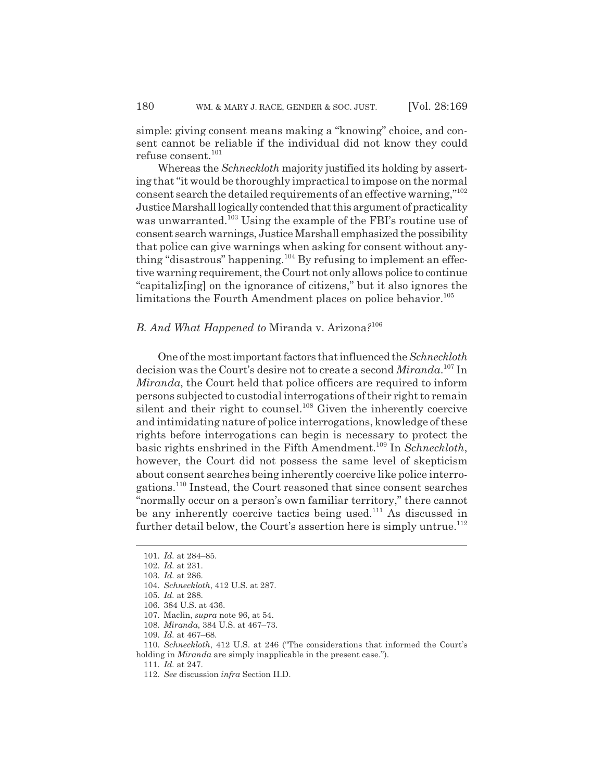simple: giving consent means making a "knowing" choice, and consent cannot be reliable if the individual did not know they could refuse consent.<sup>101</sup>

Whereas the *Schneckloth* majority justified its holding by asserting that "it would be thoroughly impractical to impose on the normal consent search the detailed requirements of an effective warning,"102 Justice Marshall logically contended that this argument of practicality was unwarranted.<sup>103</sup> Using the example of the FBI's routine use of consent search warnings, Justice Marshall emphasized the possibility that police can give warnings when asking for consent without anything "disastrous" happening.104 By refusing to implement an effective warning requirement, the Court not only allows police to continue "capitaliz[ing] on the ignorance of citizens," but it also ignores the limitations the Fourth Amendment places on police behavior.<sup>105</sup>

## *B. And What Happened to* Miranda v. Arizona*?*<sup>106</sup>

One of the most important factors that influenced the *Schneckloth* decision was the Court's desire not to create a second *Miranda*. 107 In *Miranda*, the Court held that police officers are required to inform persons subjected to custodial interrogations of their right to remain silent and their right to counsel. $108$  Given the inherently coercive and intimidating nature of police interrogations, knowledge of these rights before interrogations can begin is necessary to protect the basic rights enshrined in the Fifth Amendment.109 In *Schneckloth*, however, the Court did not possess the same level of skepticism about consent searches being inherently coercive like police interrogations.110 Instead, the Court reasoned that since consent searches "normally occur on a person's own familiar territory," there cannot be any inherently coercive tactics being used.<sup>111</sup> As discussed in further detail below, the Court's assertion here is simply untrue.<sup>112</sup>

111. *Id.* at 247.

<sup>101.</sup> *Id.* at 284–85.

<sup>102.</sup> *Id.* at 231.

<sup>103.</sup> *Id.* at 286.

<sup>104.</sup> *Schneckloth*, 412 U.S. at 287.

<sup>105.</sup> *Id.* at 288.

<sup>106. 384</sup> U.S. at 436.

<sup>107.</sup> Maclin, *supra* note 96, at 54.

<sup>108.</sup> *Miranda*, 384 U.S. at 467–73.

<sup>109.</sup> *Id.* at 467–68.

<sup>110.</sup> *Schneckloth*, 412 U.S. at 246 ("The considerations that informed the Court's holding in *Miranda* are simply inapplicable in the present case.").

<sup>112.</sup> *See* discussion *infra* Section II.D.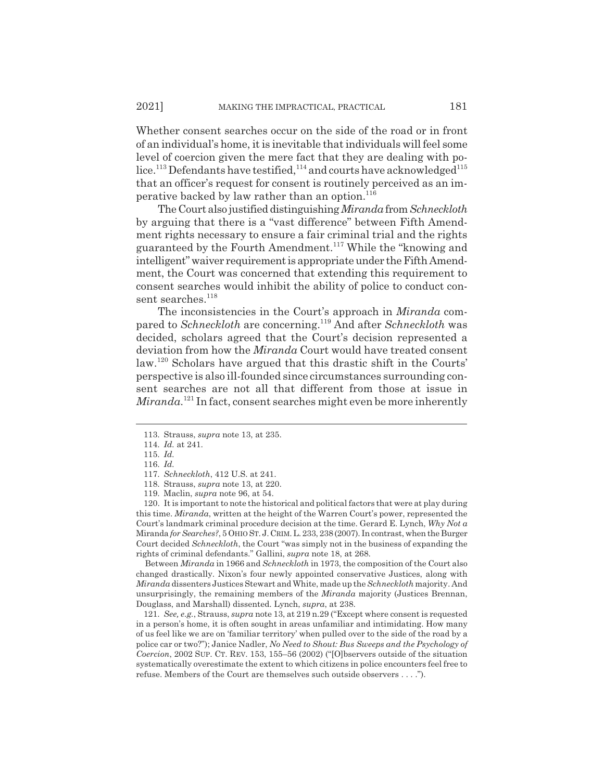Whether consent searches occur on the side of the road or in front of an individual's home, it is inevitable that individuals will feel some level of coercion given the mere fact that they are dealing with police.<sup>113</sup> Defendants have testified,<sup>114</sup> and courts have acknowledged<sup>115</sup> that an officer's request for consent is routinely perceived as an imperative backed by law rather than an option. $116$ 

The Court also justified distinguishing *Miranda*from*Schneckloth* by arguing that there is a "vast difference" between Fifth Amendment rights necessary to ensure a fair criminal trial and the rights guaranteed by the Fourth Amendment.117 While the "knowing and intelligent" waiver requirement is appropriate under the Fifth Amendment, the Court was concerned that extending this requirement to consent searches would inhibit the ability of police to conduct consent searches.<sup>118</sup>

The inconsistencies in the Court's approach in *Miranda* compared to *Schneckloth* are concerning.119 And after *Schneckloth* was decided, scholars agreed that the Court's decision represented a deviation from how the *Miranda* Court would have treated consent law.120 Scholars have argued that this drastic shift in the Courts' perspective is also ill-founded since circumstances surrounding consent searches are not all that different from those at issue in *Miranda*. 121 In fact, consent searches might even be more inherently

120. It is important to note the historical and political factors that were at play during this time. *Miranda*, written at the height of the Warren Court's power, represented the Court's landmark criminal procedure decision at the time. Gerard E. Lynch, *Why Not a* Miranda *for Searches?*, 5 OHIO ST. J. CRIM. L. 233, 238 (2007). In contrast, when the Burger Court decided *Schneckloth*, the Court "was simply not in the business of expanding the rights of criminal defendants." Gallini, *supra* note 18, at 268.

Between *Miranda* in 1966 and *Schneckloth* in 1973, the composition of the Court also changed drastically. Nixon's four newly appointed conservative Justices, along with *Miranda* dissenters Justices Stewart and White, made up the *Schneckloth* majority. And unsurprisingly, the remaining members of the *Miranda* majority (Justices Brennan, Douglass, and Marshall) dissented. Lynch, *supra*, at 238.

121. *See, e.g.*, Strauss, *supra* note 13, at 219 n.29 ("Except where consent is requested in a person's home, it is often sought in areas unfamiliar and intimidating. How many of us feel like we are on 'familiar territory' when pulled over to the side of the road by a police car or two?"); Janice Nadler, *No Need to Shout: Bus Sweeps and the Psychology of Coercion*, 2002 SUP. CT. REV. 153, 155–56 (2002) ("[O]bservers outside of the situation systematically overestimate the extent to which citizens in police encounters feel free to refuse. Members of the Court are themselves such outside observers . . . .").

<sup>113.</sup> Strauss, *supra* note 13, at 235.

<sup>114.</sup> *Id.* at 241.

<sup>115.</sup> *Id.*

<sup>116.</sup> *Id.*

<sup>117.</sup> *Schneckloth*, 412 U.S. at 241.

<sup>118.</sup> Strauss, *supra* note 13, at 220.

<sup>119.</sup> Maclin, *supra* note 96, at 54.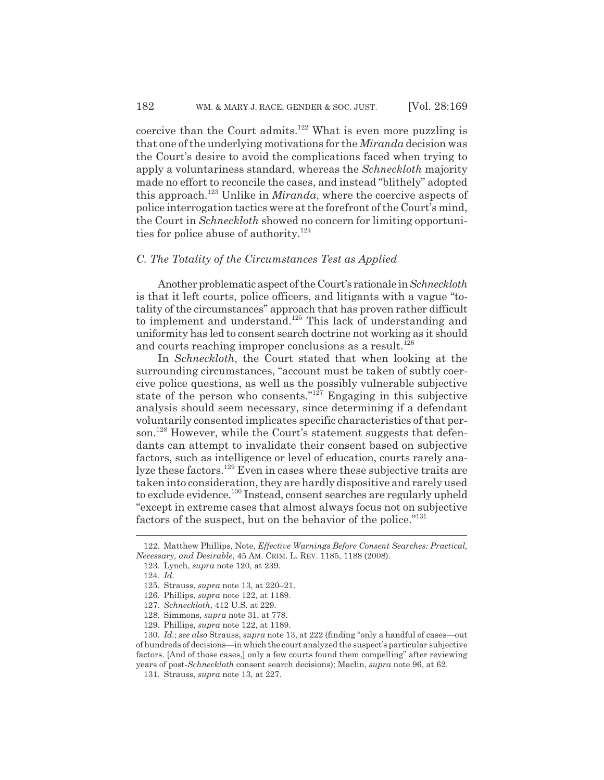coercive than the Court admits.<sup>122</sup> What is even more puzzling is that one of the underlying motivations for the *Miranda* decision was the Court's desire to avoid the complications faced when trying to apply a voluntariness standard, whereas the *Schneckloth* majority made no effort to reconcile the cases, and instead "blithely" adopted this approach.123 Unlike in *Miranda*, where the coercive aspects of police interrogation tactics were at the forefront of the Court's mind, the Court in *Schneckloth* showed no concern for limiting opportunities for police abuse of authority.<sup>124</sup>

## *C. The Totality of the Circumstances Test as Applied*

Another problematic aspect of the Court's rationale in *Schneckloth* is that it left courts, police officers, and litigants with a vague "totality of the circumstances" approach that has proven rather difficult to implement and understand.125 This lack of understanding and uniformity has led to consent search doctrine not working as it should and courts reaching improper conclusions as a result.<sup>126</sup>

In *Schneckloth*, the Court stated that when looking at the surrounding circumstances, "account must be taken of subtly coercive police questions, as well as the possibly vulnerable subjective state of the person who consents." $127$  Engaging in this subjective analysis should seem necessary, since determining if a defendant voluntarily consented implicates specific characteristics of that person.<sup>128</sup> However, while the Court's statement suggests that defendants can attempt to invalidate their consent based on subjective factors, such as intelligence or level of education, courts rarely analyze these factors.<sup>129</sup> Even in cases where these subjective traits are taken into consideration, they are hardly dispositive and rarely used to exclude evidence.130 Instead, consent searches are regularly upheld "except in extreme cases that almost always focus not on subjective factors of the suspect, but on the behavior of the police."131

<sup>122.</sup> Matthew Phillips, Note, *Effective Warnings Before Consent Searches: Practical, Necessary, and Desirable*, 45 AM. CRIM. L. REV. 1185, 1188 (2008).

<sup>123.</sup> Lynch, *supra* note 120, at 239.

<sup>124.</sup> *Id.*

<sup>125.</sup> Strauss, *supra* note 13, at 220–21.

<sup>126.</sup> Phillips, *supra* note 122, at 1189.

<sup>127.</sup> *Schneckloth*, 412 U.S. at 229.

<sup>128.</sup> Simmons, *supra* note 31, at 778.

<sup>129.</sup> Phillips, *supra* note 122, at 1189.

<sup>130.</sup> *Id.*; *see also* Strauss, *supra* note 13, at 222 (finding "only a handful of cases—out of hundreds of decisions—in which the court analyzed the suspect's particular subjective factors. [And of those cases,] only a few courts found them compelling" after reviewing years of post-*Schneckloth* consent search decisions); Maclin, *supra* note 96, at 62.

<sup>131.</sup> Strauss, *supra* note 13, at 227.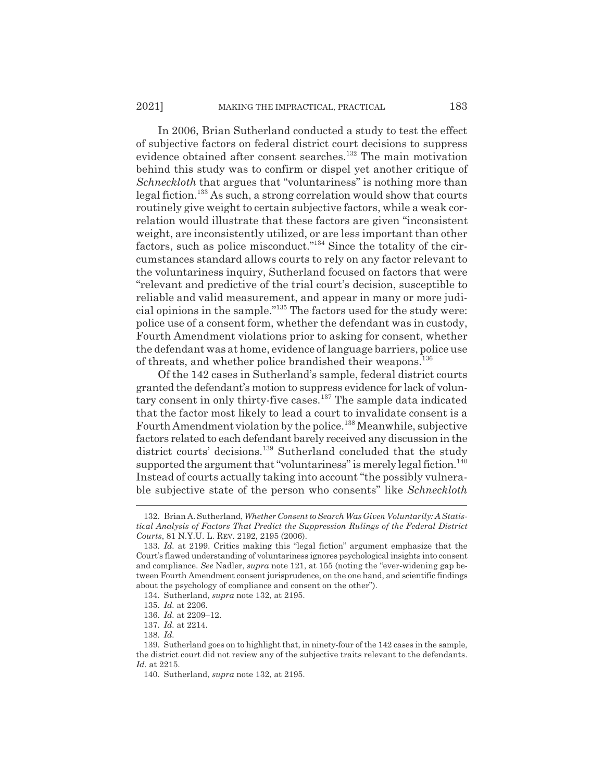In 2006, Brian Sutherland conducted a study to test the effect of subjective factors on federal district court decisions to suppress evidence obtained after consent searches.<sup>132</sup> The main motivation behind this study was to confirm or dispel yet another critique of *Schneckloth* that argues that "voluntariness" is nothing more than legal fiction.133 As such, a strong correlation would show that courts routinely give weight to certain subjective factors, while a weak correlation would illustrate that these factors are given "inconsistent weight, are inconsistently utilized, or are less important than other factors, such as police misconduct."134 Since the totality of the circumstances standard allows courts to rely on any factor relevant to the voluntariness inquiry, Sutherland focused on factors that were "relevant and predictive of the trial court's decision, susceptible to reliable and valid measurement, and appear in many or more judicial opinions in the sample."135 The factors used for the study were: police use of a consent form, whether the defendant was in custody, Fourth Amendment violations prior to asking for consent, whether the defendant was at home, evidence of language barriers, police use of threats, and whether police brandished their weapons.136

Of the 142 cases in Sutherland's sample, federal district courts granted the defendant's motion to suppress evidence for lack of voluntary consent in only thirty-five cases.<sup>137</sup> The sample data indicated that the factor most likely to lead a court to invalidate consent is a Fourth Amendment violation by the police.138 Meanwhile, subjective factors related to each defendant barely received any discussion in the district courts' decisions.<sup>139</sup> Sutherland concluded that the study supported the argument that "voluntariness" is merely legal fiction.<sup>140</sup> Instead of courts actually taking into account "the possibly vulnerable subjective state of the person who consents" like *Schneckloth*

<sup>132.</sup> Brian A. Sutherland, *Whether Consent to Search Was Given Voluntarily: A Statistical Analysis of Factors That Predict the Suppression Rulings of the Federal District Courts*, 81 N.Y.U. L. REV. 2192, 2195 (2006).

<sup>133.</sup> *Id.* at 2199. Critics making this "legal fiction" argument emphasize that the Court's flawed understanding of voluntariness ignores psychological insights into consent and compliance. *See* Nadler, *supra* note 121, at 155 (noting the "ever-widening gap between Fourth Amendment consent jurisprudence, on the one hand, and scientific findings about the psychology of compliance and consent on the other").

<sup>134.</sup> Sutherland, *supra* note 132, at 2195.

<sup>135.</sup> *Id.* at 2206.

<sup>136.</sup> *Id.* at 2209–12.

<sup>137.</sup> *Id.* at 2214.

<sup>138.</sup> *Id.*

<sup>139.</sup> Sutherland goes on to highlight that, in ninety-four of the 142 cases in the sample, the district court did not review any of the subjective traits relevant to the defendants. *Id.* at 2215.

<sup>140.</sup> Sutherland, *supra* note 132, at 2195.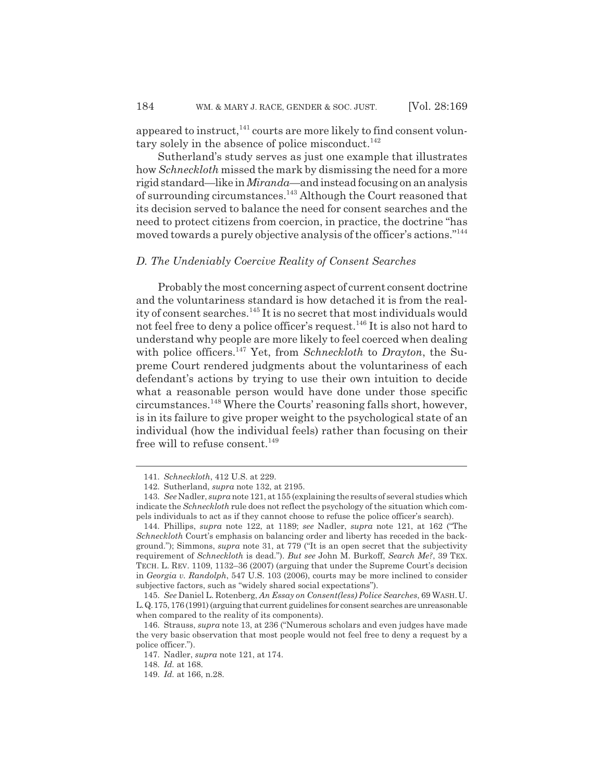appeared to instruct, $^{141}$  courts are more likely to find consent voluntary solely in the absence of police misconduct.<sup>142</sup>

Sutherland's study serves as just one example that illustrates how *Schneckloth* missed the mark by dismissing the need for a more rigid standard—like in *Miranda*—and instead focusing on an analysis of surrounding circumstances.143 Although the Court reasoned that its decision served to balance the need for consent searches and the need to protect citizens from coercion, in practice, the doctrine "has moved towards a purely objective analysis of the officer's actions."144

#### *D. The Undeniably Coercive Reality of Consent Searches*

Probably the most concerning aspect of current consent doctrine and the voluntariness standard is how detached it is from the reality of consent searches.<sup>145</sup> It is no secret that most individuals would not feel free to deny a police officer's request.<sup>146</sup> It is also not hard to understand why people are more likely to feel coerced when dealing with police officers.147 Yet, from *Schneckloth* to *Drayton*, the Supreme Court rendered judgments about the voluntariness of each defendant's actions by trying to use their own intuition to decide what a reasonable person would have done under those specific circumstances.148 Where the Courts' reasoning falls short, however, is in its failure to give proper weight to the psychological state of an individual (how the individual feels) rather than focusing on their free will to refuse consent. $149$ 

<sup>141.</sup> *Schneckloth*, 412 U.S. at 229.

<sup>142.</sup> Sutherland, *supra* note 132, at 2195.

<sup>143.</sup> *See* Nadler, *supra* note 121, at 155 (explaining the results of several studies which indicate the *Schneckloth* rule does not reflect the psychology of the situation which compels individuals to act as if they cannot choose to refuse the police officer's search).

<sup>144.</sup> Phillips, *supra* note 122, at 1189; *see* Nadler, *supra* note 121, at 162 ("The *Schneckloth* Court's emphasis on balancing order and liberty has receded in the background."); Simmons, *supra* note 31, at 779 ("It is an open secret that the subjectivity requirement of *Schneckloth* is dead."). *But see* John M. Burkoff, *Search Me?*, 39 TEX. TECH. L. REV. 1109, 1132–36 (2007) (arguing that under the Supreme Court's decision in *Georgia v. Randolph*, 547 U.S. 103 (2006), courts may be more inclined to consider subjective factors, such as "widely shared social expectations").

<sup>145.</sup> *See* Daniel L. Rotenberg, *An Essay on Consent(less) Police Searches*, 69 WASH. U. L.Q.175, 176 (1991) (arguing that current guidelines for consent searches are unreasonable when compared to the reality of its components).

<sup>146.</sup> Strauss, *supra* note 13, at 236 ("Numerous scholars and even judges have made the very basic observation that most people would not feel free to deny a request by a police officer.").

<sup>147.</sup> Nadler, *supra* note 121, at 174.

<sup>148.</sup> *Id.* at 168.

<sup>149.</sup> *Id.* at 166, n.28.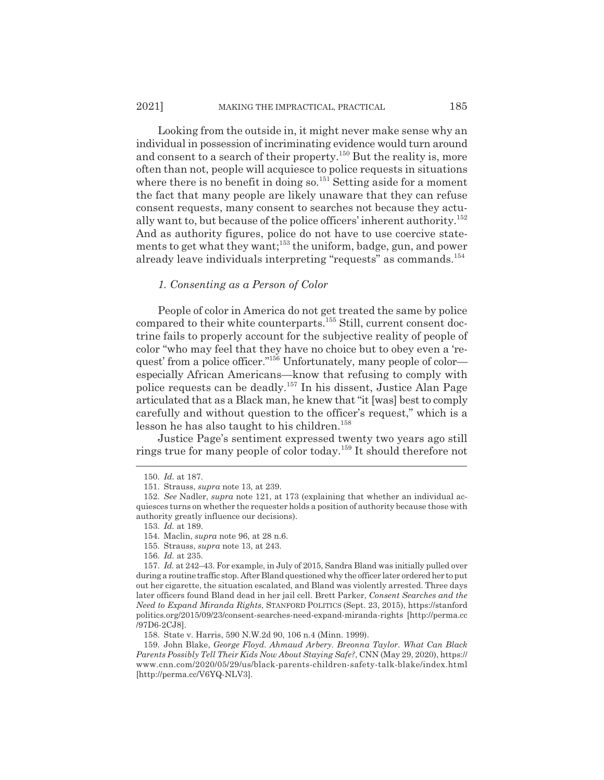Looking from the outside in, it might never make sense why an individual in possession of incriminating evidence would turn around and consent to a search of their property.<sup>150</sup> But the reality is, more often than not, people will acquiesce to police requests in situations where there is no benefit in doing so.<sup>151</sup> Setting aside for a moment the fact that many people are likely unaware that they can refuse consent requests, many consent to searches not because they actually want to, but because of the police officers' inherent authority.<sup>152</sup> And as authority figures, police do not have to use coercive statements to get what they want;<sup>153</sup> the uniform, badge, gun, and power already leave individuals interpreting "requests" as commands.154

#### *1. Consenting as a Person of Color*

People of color in America do not get treated the same by police compared to their white counterparts.<sup>155</sup> Still, current consent doctrine fails to properly account for the subjective reality of people of color "who may feel that they have no choice but to obey even a 'request' from a police officer."<sup>156</sup> Unfortunately, many people of color especially African Americans—know that refusing to comply with police requests can be deadly.157 In his dissent, Justice Alan Page articulated that as a Black man, he knew that "it [was] best to comply carefully and without question to the officer's request," which is a lesson he has also taught to his children.<sup>158</sup>

Justice Page's sentiment expressed twenty two years ago still rings true for many people of color today.159 It should therefore not

<sup>150.</sup> *Id.* at 187.

<sup>151.</sup> Strauss, *supra* note 13, at 239.

<sup>152.</sup> *See* Nadler, *supra* note 121, at 173 (explaining that whether an individual acquiesces turns on whether the requester holds a position of authority because those with authority greatly influence our decisions).

<sup>153.</sup> *Id.* at 189.

<sup>154.</sup> Maclin, *supra* note 96, at 28 n.6.

<sup>155.</sup> Strauss, *supra* note 13, at 243.

<sup>156.</sup> *Id.* at 235.

<sup>157.</sup> *Id.* at 242–43. For example, in July of 2015, Sandra Bland was initially pulled over during a routine traffic stop. After Bland questioned why the officer later ordered her to put out her cigarette, the situation escalated, and Bland was violently arrested. Three days later officers found Bland dead in her jail cell. Brett Parker, *Consent Searches and the Need to Expand Miranda Rights*, STANFORD POLITICS (Sept. 23, 2015), https://stanford politics.org/2015/09/23/consent-searches-need-expand-miranda-rights [http://perma.cc /97D6-2CJ8].

<sup>158.</sup> State v. Harris, 590 N.W.2d 90, 106 n.4 (Minn. 1999).

<sup>159.</sup> John Blake, *George Floyd. Ahmaud Arbery. Breonna Taylor. What Can Black Parents Possibly Tell Their Kids Now About Staying Safe?*, CNN (May 29, 2020), https:// www.cnn.com/2020/05/29/us/black-parents-children-safety-talk-blake/index.html [http://perma.cc/V6YQ-NLV3].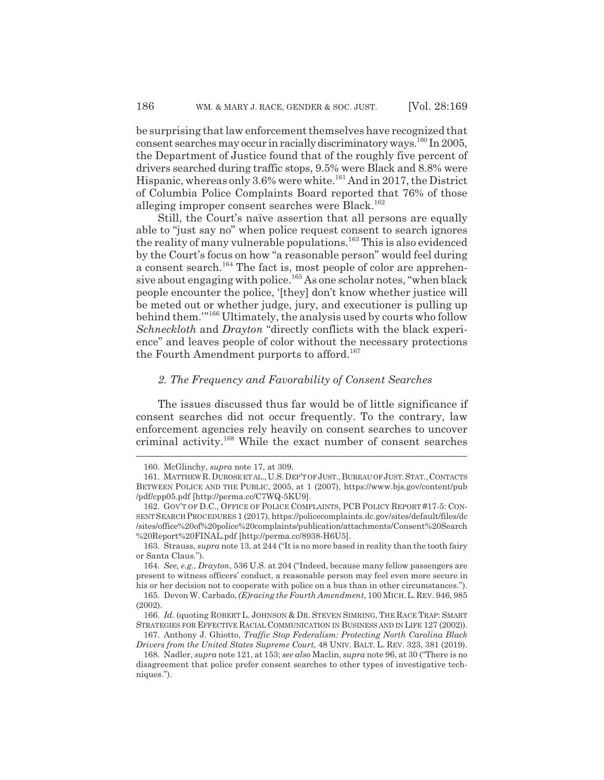be surprising that law enforcement themselves have recognized that consent searches may occur in racially discriminatory ways.160 In 2005, the Department of Justice found that of the roughly five percent of drivers searched during traffic stops, 9.5% were Black and 8.8% were Hispanic, whereas only 3.6% were white.<sup>161</sup> And in 2017, the District of Columbia Police Complaints Board reported that 76% of those alleging improper consent searches were Black.<sup>162</sup>

Still, the Court's naïve assertion that all persons are equally able to "just say no" when police request consent to search ignores the reality of many vulnerable populations.<sup>163</sup> This is also evidenced by the Court's focus on how "a reasonable person" would feel during a consent search.<sup>164</sup> The fact is, most people of color are apprehensive about engaging with police.<sup>165</sup> As one scholar notes, "when black people encounter the police, '[they] don't know whether justice will be meted out or whether judge, jury, and executioner is pulling up behind them.'"166 Ultimately, the analysis used by courts who follow *Schneckloth* and *Drayton* "directly conflicts with the black experience" and leaves people of color without the necessary protections the Fourth Amendment purports to afford.<sup>167</sup>

#### *2. The Frequency and Favorability of Consent Searches*

The issues discussed thus far would be of little significance if consent searches did not occur frequently. To the contrary, law enforcement agencies rely heavily on consent searches to uncover criminal activity.168 While the exact number of consent searches

<sup>160.</sup> McGlinchy, *supra* note 17, at 309.

<sup>161.</sup> MATTHEWR.DUROSE ET AL.,U.S.DEP'T OF JUST.,BUREAU OF JUST.STAT.,CONTACTS BETWEEN POLICE AND THE PUBLIC, 2005, at 1 (2007), https://www.bjs.gov/content/pub /pdf/cpp05.pdf [http://perma.cc/C7WQ-5KU9].

<sup>162.</sup> GOV'T OF D.C., OFFICE OF POLICE COMPLAINTS, PCB POLICY REPORT #17-5: CON-SENTSEARCH PROCEDURES 1 (2017), https://policecomplaints.dc.gov/sites/default/files/dc /sites/office%20of%20police%20complaints/publication/attachments/Consent%20Search %20Report%20FINAL.pdf [http://perma.cc/8938-H6U5].

<sup>163.</sup> Strauss, *supra* note 13, at 244 ("It is no more based in reality than the tooth fairy or Santa Claus.").

<sup>164.</sup> *See, e.g.*, *Drayton*, 536 U.S. at 204 ("Indeed, because many fellow passengers are present to witness officers' conduct, a reasonable person may feel even more secure in his or her decision not to cooperate with police on a bus than in other circumstances.").

<sup>165.</sup> Devon W. Carbado, *(E)racing the Fourth Amendment*, 100 MICH.L.REV. 946, 985 (2002).

<sup>166.</sup> *Id.* (quoting ROBERT L. JOHNSON & DR. STEVEN SIMRING, THE RACE TRAP: SMART STRATEGIES FOR EFFECTIVE RACIAL COMMUNICATION IN BUSINESS AND IN LIFE 127 (2002)).

<sup>167.</sup> Anthony J. Ghiotto, *Traffic Stop Federalism: Protecting North Carolina Black Drivers from the United States Supreme Court*, 48 UNIV. BALT. L. REV. 323, 381 (2019).

<sup>168.</sup> Nadler, *supra* note 121, at 153; *see also* Maclin, *supra* note 96, at 30 ("There is no disagreement that police prefer consent searches to other types of investigative techniques.").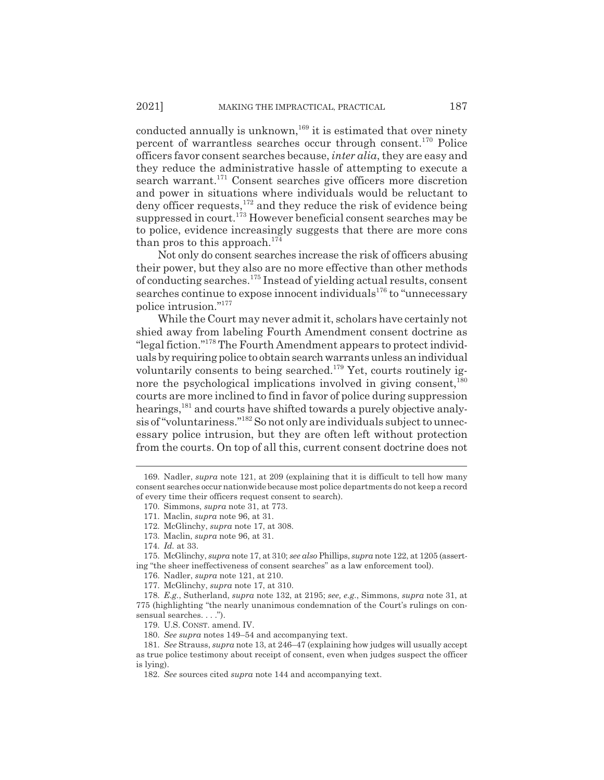conducted annually is unknown,<sup>169</sup> it is estimated that over ninety percent of warrantless searches occur through consent.170 Police officers favor consent searches because, *inter alia*, they are easy and they reduce the administrative hassle of attempting to execute a search warrant.<sup>171</sup> Consent searches give officers more discretion and power in situations where individuals would be reluctant to deny officer requests, $172$  and they reduce the risk of evidence being suppressed in court.<sup>173</sup> However beneficial consent searches may be to police, evidence increasingly suggests that there are more cons than pros to this approach.<sup>174</sup>

Not only do consent searches increase the risk of officers abusing their power, but they also are no more effective than other methods of conducting searches.175 Instead of yielding actual results, consent searches continue to expose innocent individuals<sup>176</sup> to "unnecessary police intrusion."177

While the Court may never admit it, scholars have certainly not shied away from labeling Fourth Amendment consent doctrine as "legal fiction."178 The Fourth Amendment appears to protect individuals by requiring police to obtain search warrants unless an individual voluntarily consents to being searched.<sup>179</sup> Yet, courts routinely ignore the psychological implications involved in giving consent,  $180$ courts are more inclined to find in favor of police during suppression hearings,<sup>181</sup> and courts have shifted towards a purely objective analysis of "voluntariness."182 So not only are individuals subject to unnecessary police intrusion, but they are often left without protection from the courts. On top of all this, current consent doctrine does not

175. McGlinchy, *supra* note 17, at 310; *see also* Phillips, *supra* note 122, at 1205 (asserting "the sheer ineffectiveness of consent searches" as a law enforcement tool).

<sup>169.</sup> Nadler, *supra* note 121, at 209 (explaining that it is difficult to tell how many consent searches occur nationwide because most police departments do not keep a record of every time their officers request consent to search).

<sup>170.</sup> Simmons, *supra* note 31, at 773.

<sup>171.</sup> Maclin, *supra* note 96, at 31.

<sup>172.</sup> McGlinchy, *supra* note 17, at 308.

<sup>173.</sup> Maclin, *supra* note 96, at 31.

<sup>174.</sup> *Id.* at 33.

<sup>176.</sup> Nadler, *supra* note 121, at 210.

<sup>177.</sup> McGlinchy, *supra* note 17, at 310.

<sup>178.</sup> *E.g.*, Sutherland, *supra* note 132, at 2195; *see, e.g.*, Simmons, *supra* note 31, at 775 (highlighting "the nearly unanimous condemnation of the Court's rulings on consensual searches. . . .").

<sup>179.</sup> U.S. CONST. amend. IV.

<sup>180.</sup> *See supra* notes 149–54 and accompanying text.

<sup>181.</sup> *See* Strauss, *supra* note 13, at 246–47 (explaining how judges will usually accept as true police testimony about receipt of consent, even when judges suspect the officer is lying).

<sup>182.</sup> *See* sources cited *supra* note 144 and accompanying text.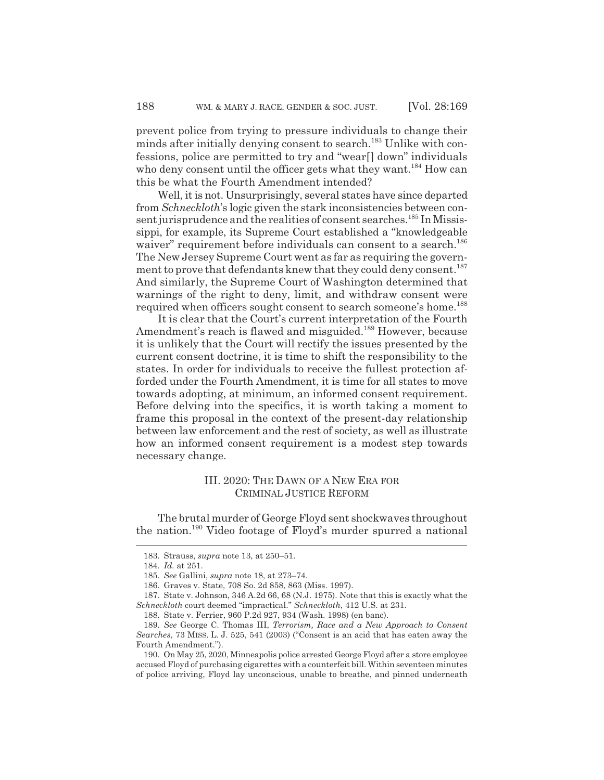prevent police from trying to pressure individuals to change their minds after initially denying consent to search.<sup>183</sup> Unlike with confessions, police are permitted to try and "wear[] down" individuals who deny consent until the officer gets what they want.<sup>184</sup> How can this be what the Fourth Amendment intended?

Well, it is not. Unsurprisingly, several states have since departed from *Schneckloth*'s logic given the stark inconsistencies between consent jurisprudence and the realities of consent searches.<sup>185</sup> In Mississippi, for example, its Supreme Court established a "knowledgeable waiver" requirement before individuals can consent to a search.<sup>186</sup> The New Jersey Supreme Court went as far as requiring the government to prove that defendants knew that they could deny consent.<sup>187</sup> And similarly, the Supreme Court of Washington determined that warnings of the right to deny, limit, and withdraw consent were required when officers sought consent to search someone's home.188

It is clear that the Court's current interpretation of the Fourth Amendment's reach is flawed and misguided.<sup>189</sup> However, because it is unlikely that the Court will rectify the issues presented by the current consent doctrine, it is time to shift the responsibility to the states. In order for individuals to receive the fullest protection afforded under the Fourth Amendment, it is time for all states to move towards adopting, at minimum, an informed consent requirement. Before delving into the specifics, it is worth taking a moment to frame this proposal in the context of the present-day relationship between law enforcement and the rest of society, as well as illustrate how an informed consent requirement is a modest step towards necessary change.

#### III. 2020: THE DAWN OF A NEW ERA FOR CRIMINAL JUSTICE REFORM

The brutal murder of George Floyd sent shockwaves throughout the nation.190 Video footage of Floyd's murder spurred a national

<sup>183.</sup> Strauss, *supra* note 13, at 250–51.

<sup>184.</sup> *Id.* at 251.

<sup>185.</sup> *See* Gallini, *supra* note 18, at 273–74.

<sup>186.</sup> Graves v. State, 708 So. 2d 858, 863 (Miss. 1997).

<sup>187.</sup> State v. Johnson, 346 A.2d 66, 68 (N.J. 1975). Note that this is exactly what the *Schneckloth* court deemed "impractical." *Schneckloth*, 412 U.S. at 231.

<sup>188.</sup> State v. Ferrier, 960 P.2d 927, 934 (Wash. 1998) (en banc).

<sup>189.</sup> *See* George C. Thomas III, *Terrorism, Race and a New Approach to Consent Searches*, 73 MISS. L. J. 525, 541 (2003) ("Consent is an acid that has eaten away the Fourth Amendment.").

<sup>190.</sup> On May 25, 2020, Minneapolis police arrested George Floyd after a store employee accused Floyd of purchasing cigarettes with a counterfeit bill. Within seventeen minutes of police arriving, Floyd lay unconscious, unable to breathe, and pinned underneath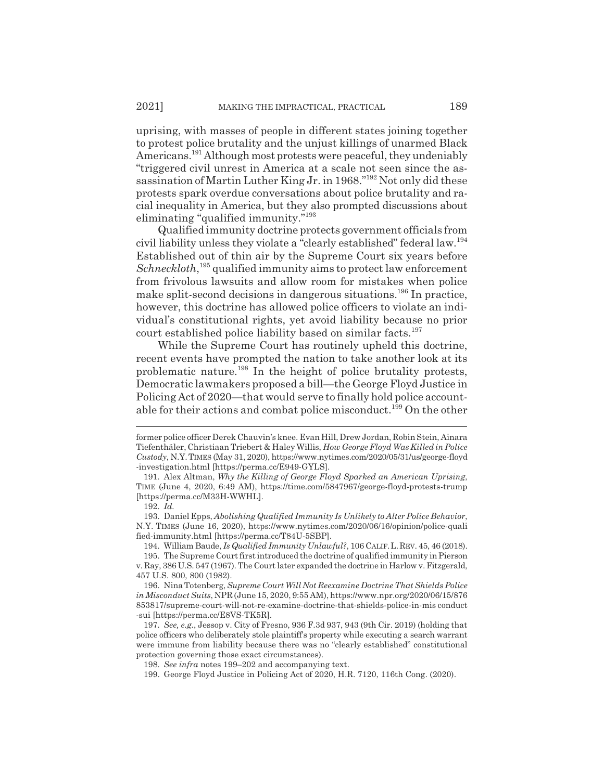uprising, with masses of people in different states joining together to protest police brutality and the unjust killings of unarmed Black Americans.<sup>191</sup> Although most protests were peaceful, they undeniably "triggered civil unrest in America at a scale not seen since the assassination of Martin Luther King Jr. in 1968."192 Not only did these protests spark overdue conversations about police brutality and racial inequality in America, but they also prompted discussions about eliminating "qualified immunity."<sup>193</sup>

Qualified immunity doctrine protects government officials from civil liability unless they violate a "clearly established" federal law.<sup>194</sup> Established out of thin air by the Supreme Court six years before Schneckloth,<sup>195</sup> qualified immunity aims to protect law enforcement from frivolous lawsuits and allow room for mistakes when police make split-second decisions in dangerous situations.<sup>196</sup> In practice, however, this doctrine has allowed police officers to violate an individual's constitutional rights, yet avoid liability because no prior court established police liability based on similar facts.<sup>197</sup>

While the Supreme Court has routinely upheld this doctrine, recent events have prompted the nation to take another look at its problematic nature.198 In the height of police brutality protests, Democratic lawmakers proposed a bill—the George Floyd Justice in Policing Act of 2020—that would serve to finally hold police accountable for their actions and combat police misconduct.<sup>199</sup> On the other

former police officer Derek Chauvin's knee. Evan Hill, Drew Jordan, Robin Stein, Ainara Tiefenthäler, Christiaan Triebert & Haley Willis, *How George Floyd Was Killed in Police Custody*, N.Y.TIMES (May 31, 2020), https://www.nytimes.com/2020/05/31/us/george-floyd -investigation.html [https://perma.cc/E949-GYLS].

<sup>191.</sup> Alex Altman, *Why the Killing of George Floyd Sparked an American Uprising*, TIME (June 4, 2020, 6:49 AM), https://time.com/5847967/george-floyd-protests-trump [https://perma.cc/M33H-WWHL].

<sup>192.</sup> *Id.*

<sup>193.</sup> Daniel Epps, *Abolishing Qualified Immunity Is Unlikely to Alter Police Behavior*, N.Y. TIMES (June 16, 2020), https://www.nytimes.com/2020/06/16/opinion/police-quali fied-immunity.html [https://perma.cc/T84U-5SBP].

<sup>194.</sup> William Baude, *Is Qualified Immunity Unlawful?*, 106 CALIF.L.REV. 45, 46 (2018). 195. The Supreme Court first introduced the doctrine of qualified immunity in Pierson

v. Ray, 386 U.S. 547 (1967). The Court later expanded the doctrine in Harlow v. Fitzgerald, 457 U.S. 800, 800 (1982).

<sup>196.</sup> Nina Totenberg, *Supreme Court Will Not Reexamine Doctrine That Shields Police in Misconduct Suits*, NPR (June 15, 2020, 9:55 AM), https://www.npr.org/2020/06/15/876 853817/supreme-court-will-not-re-examine-doctrine-that-shields-police-in-mis conduct -sui [https://perma.cc/E8VS-TK5R].

<sup>197.</sup> *See, e.g.*, Jessop v. City of Fresno, 936 F.3d 937, 943 (9th Cir. 2019) (holding that police officers who deliberately stole plaintiff's property while executing a search warrant were immune from liability because there was no "clearly established" constitutional protection governing those exact circumstances).

<sup>198.</sup> *See infra* notes 199–202 and accompanying text.

<sup>199.</sup> George Floyd Justice in Policing Act of 2020, H.R. 7120, 116th Cong. (2020).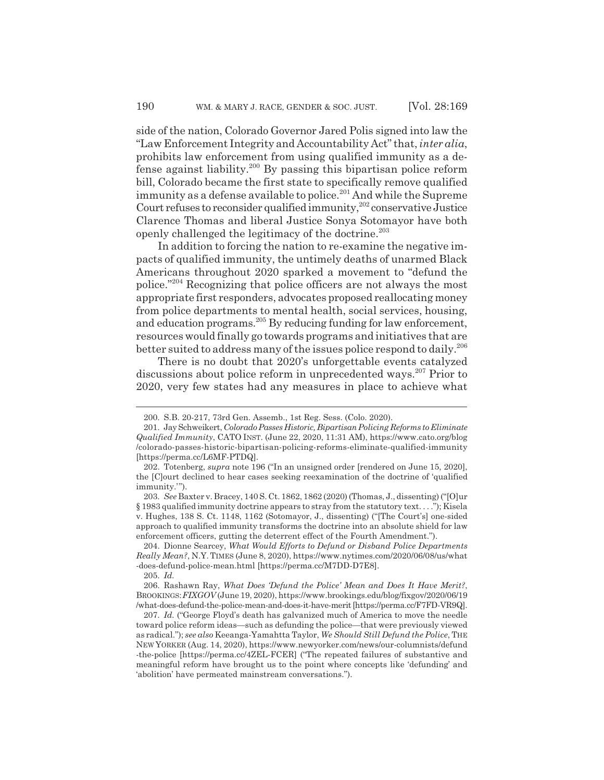side of the nation, Colorado Governor Jared Polis signed into law the "Law Enforcement Integrity and Accountability Act" that, *inter alia*, prohibits law enforcement from using qualified immunity as a defense against liability.<sup>200</sup> By passing this bipartisan police reform bill, Colorado became the first state to specifically remove qualified immunity as a defense available to police.<sup>201</sup> And while the Supreme Court refuses to reconsider qualified immunity,<sup>202</sup> conservative Justice Clarence Thomas and liberal Justice Sonya Sotomayor have both openly challenged the legitimacy of the doctrine.203

In addition to forcing the nation to re-examine the negative impacts of qualified immunity, the untimely deaths of unarmed Black Americans throughout 2020 sparked a movement to "defund the police."204 Recognizing that police officers are not always the most appropriate first responders, advocates proposed reallocating money from police departments to mental health, social services, housing, and education programs.205 By reducing funding for law enforcement, resources would finally go towards programs and initiatives that are better suited to address many of the issues police respond to daily.206

There is no doubt that 2020's unforgettable events catalyzed discussions about police reform in unprecedented ways.207 Prior to 2020, very few states had any measures in place to achieve what

205. *Id.*

<sup>200.</sup> S.B. 20-217, 73rd Gen. Assemb., 1st Reg. Sess. (Colo. 2020).

<sup>201.</sup> Jay Schweikert, *Colorado Passes Historic, Bipartisan Policing Reforms to Eliminate Qualified Immunity*, CATO INST. (June 22, 2020, 11:31 AM), https://www.cato.org/blog /colorado-passes-historic-bipartisan-policing-reforms-eliminate-qualified-immunity [https://perma.cc/L6MF-PTDQ].

<sup>202.</sup> Totenberg, *supra* note 196 ("In an unsigned order [rendered on June 15, 2020], the [C]ourt declined to hear cases seeking reexamination of the doctrine of 'qualified immunity.'").

<sup>203.</sup> *See* Baxter v. Bracey, 140 S. Ct. 1862, 1862 (2020) (Thomas, J., dissenting) ("[O]ur § 1983 qualified immunity doctrine appears to stray from the statutory text. . . ."); Kisela v. Hughes, 138 S. Ct. 1148, 1162 (Sotomayor, J., dissenting) ("[The Court's] one-sided approach to qualified immunity transforms the doctrine into an absolute shield for law enforcement officers, gutting the deterrent effect of the Fourth Amendment.").

<sup>204.</sup> Dionne Searcey, *What Would Efforts to Defund or Disband Police Departments Really Mean?*, N.Y. TIMES (June 8, 2020), https://www.nytimes.com/2020/06/08/us/what -does-defund-police-mean.html [https://perma.cc/M7DD-D7E8].

<sup>206.</sup> Rashawn Ray, *What Does 'Defund the Police' Mean and Does It Have Merit?*, BROOKINGS:*FIXGOV* (June 19, 2020), https://www.brookings.edu/blog/fixgov/2020/06/19 /what-does-defund-the-police-mean-and-does-it-have-merit [https://perma.cc/F7FD-VR9Q].

<sup>207.</sup> *Id.* ("George Floyd's death has galvanized much of America to move the needle toward police reform ideas—such as defunding the police—that were previously viewed as radical."); *see also* Keeanga-Yamahtta Taylor, *We Should Still Defund the Police*, THE NEW YORKER (Aug. 14, 2020), https://www.newyorker.com/news/our-columnists/defund -the-police [https://perma.cc/4ZEL-FCER] ("The repeated failures of substantive and meaningful reform have brought us to the point where concepts like 'defunding' and 'abolition' have permeated mainstream conversations.").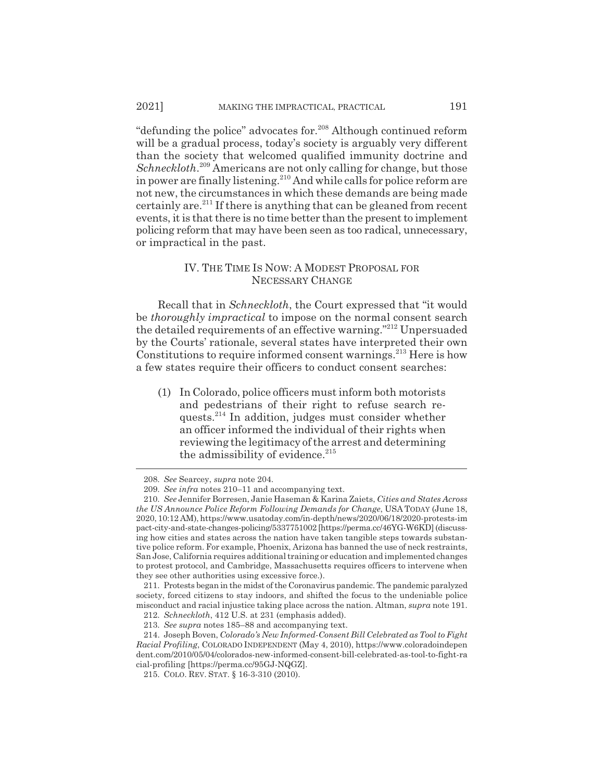"defunding the police" advocates for.<sup>208</sup> Although continued reform will be a gradual process, today's society is arguably very different than the society that welcomed qualified immunity doctrine and *Schneckloth*. 209 Americans are not only calling for change, but those in power are finally listening.<sup>210</sup> And while calls for police reform are not new, the circumstances in which these demands are being made certainly are.<sup>211</sup> If there is anything that can be gleaned from recent events, it is that there is no time better than the present to implement policing reform that may have been seen as too radical, unnecessary, or impractical in the past.

#### IV. THE TIME IS NOW:AMODEST PROPOSAL FOR NECESSARY CHANGE

Recall that in *Schneckloth*, the Court expressed that "it would be *thoroughly impractical* to impose on the normal consent search the detailed requirements of an effective warning."212 Unpersuaded by the Courts' rationale, several states have interpreted their own Constitutions to require informed consent warnings.<sup>213</sup> Here is how a few states require their officers to conduct consent searches:

(1) In Colorado, police officers must inform both motorists and pedestrians of their right to refuse search requests.<sup>214</sup> In addition, judges must consider whether an officer informed the individual of their rights when reviewing the legitimacy of the arrest and determining the admissibility of evidence. $215$ 

<sup>208.</sup> *See* Searcey, *supra* note 204.

<sup>209.</sup> *See infra* notes 210–11 and accompanying text.

<sup>210.</sup> *See* Jennifer Borresen, Janie Haseman & Karina Zaiets, *Cities and States Across the US Announce Police Reform Following Demands for Change*, USA TODAY (June 18, 2020, 10:12 AM), https://www.usatoday.com/in-depth/news/2020/06/18/2020-protests-im pact-city-and-state-changes-policing/5337751002 [https://perma.cc/46YG-W6KD] (discussing how cities and states across the nation have taken tangible steps towards substantive police reform. For example, Phoenix, Arizona has banned the use of neck restraints, San Jose, California requires additional training or education and implemented changes to protest protocol, and Cambridge, Massachusetts requires officers to intervene when they see other authorities using excessive force.).

<sup>211.</sup> Protests began in the midst of the Coronavirus pandemic. The pandemic paralyzed society, forced citizens to stay indoors, and shifted the focus to the undeniable police misconduct and racial injustice taking place across the nation. Altman, *supra* note 191.

<sup>212.</sup> *Schneckloth*, 412 U.S. at 231 (emphasis added).

<sup>213.</sup> *See supra* notes 185–88 and accompanying text.

<sup>214.</sup> Joseph Boven, *Colorado's New Informed-Consent Bill Celebrated as Tool to Fight Racial Profiling*, COLORADO INDEPENDENT (May 4, 2010), https://www.coloradoindepen dent.com/2010/05/04/colorados-new-informed-consent-bill-celebrated-as-tool-to-fight-ra cial-profiling [https://perma.cc/95GJ-NQGZ].

<sup>215.</sup> COLO. REV. STAT. § 16-3-310 (2010).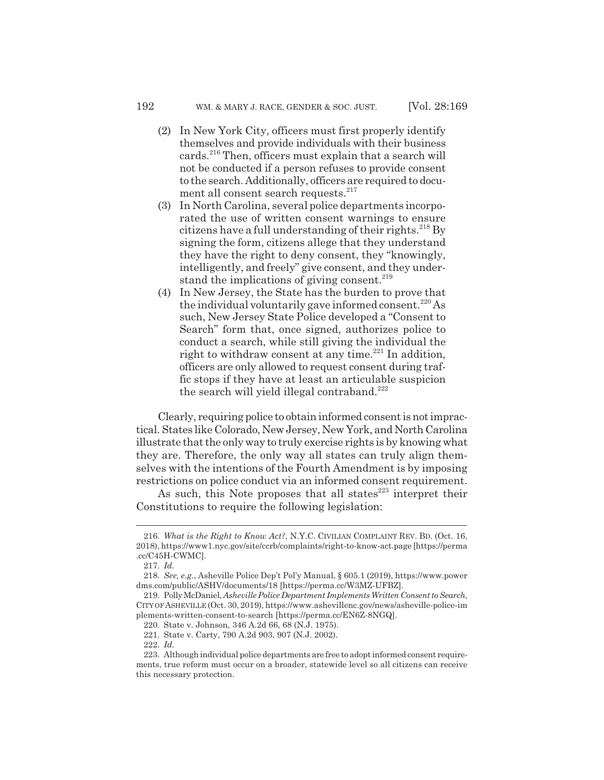- (2) In New York City, officers must first properly identify themselves and provide individuals with their business cards.<sup>216</sup> Then, officers must explain that a search will not be conducted if a person refuses to provide consent to the search. Additionally, officers are required to document all consent search requests.<sup>217</sup>
- (3) In North Carolina, several police departments incorporated the use of written consent warnings to ensure citizens have a full understanding of their rights.<sup>218</sup> By signing the form, citizens allege that they understand they have the right to deny consent, they "knowingly, intelligently, and freely" give consent, and they understand the implications of giving consent. $^{219}$
- (4) In New Jersey, the State has the burden to prove that the individual voluntarily gave informed consent.<sup>220</sup> As such, New Jersey State Police developed a "Consent to Search" form that, once signed, authorizes police to conduct a search, while still giving the individual the right to withdraw consent at any time.<sup>221</sup> In addition, officers are only allowed to request consent during traffic stops if they have at least an articulable suspicion the search will yield illegal contraband.<sup>222</sup>

Clearly, requiring police to obtain informed consent is not impractical. States like Colorado, New Jersey, New York, and North Carolina illustrate that the only way to truly exercise rights is by knowing what they are. Therefore, the only way all states can truly align themselves with the intentions of the Fourth Amendment is by imposing restrictions on police conduct via an informed consent requirement.

As such, this Note proposes that all states $^{223}$  interpret their Constitutions to require the following legislation:

<sup>216.</sup> *What is the Right to Know Act?*, N.Y.C. CIVILIAN COMPLAINT REV. BD. (Oct. 16, 2018), https://www1.nyc.gov/site/ccrb/complaints/right-to-know-act.page [https://perma .cc/C45H-CWMC].

<sup>217.</sup> *Id.*

<sup>218.</sup> *See, e.g.*, Asheville Police Dep't Pol'y Manual, § 605.1 (2019), https://www.power dms.com/public/ASHV/documents/18 [https://perma.cc/W3MZ-UFBZ].

<sup>219.</sup> Polly McDaniel, *Asheville Police Department Implements Written Consent to Search*, CITY OF ASHEVILLE (Oct. 30, 2019), https://www.ashevillenc.gov/news/asheville-police-im plements-written-consent-to-search [https://perma.cc/EN6Z-8NGQ].

<sup>220.</sup> State v. Johnson, 346 A.2d 66, 68 (N.J. 1975).

<sup>221.</sup> State v. Carty, 790 A.2d 903, 907 (N.J. 2002).

<sup>222.</sup> *Id.*

<sup>223.</sup> Although individual police departments are free to adopt informed consent requirements, true reform must occur on a broader, statewide level so all citizens can receive this necessary protection.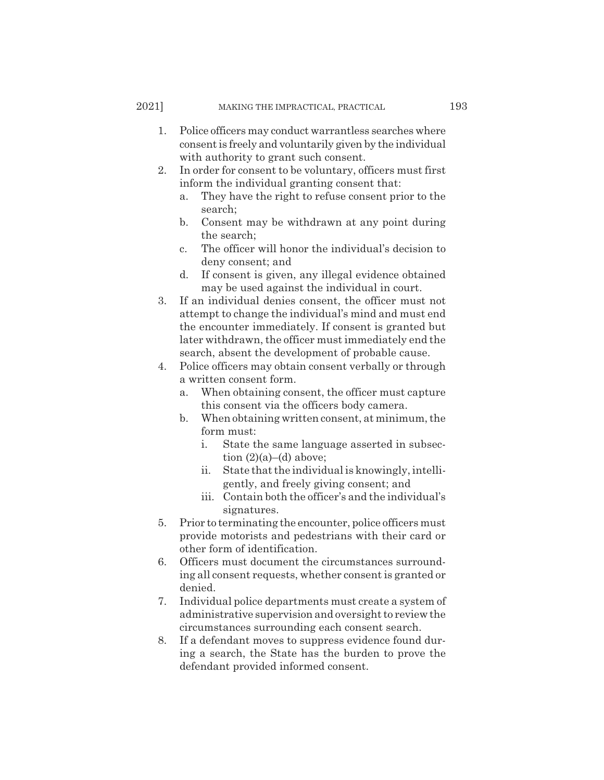- 1. Police officers may conduct warrantless searches where consent is freely and voluntarily given by the individual with authority to grant such consent.
- 2. In order for consent to be voluntary, officers must first inform the individual granting consent that:
	- a. They have the right to refuse consent prior to the search;
	- b. Consent may be withdrawn at any point during the search;
	- c. The officer will honor the individual's decision to deny consent; and
	- d. If consent is given, any illegal evidence obtained may be used against the individual in court.
- 3. If an individual denies consent, the officer must not attempt to change the individual's mind and must end the encounter immediately. If consent is granted but later withdrawn, the officer must immediately end the search, absent the development of probable cause.
- 4. Police officers may obtain consent verbally or through a written consent form.
	- a. When obtaining consent, the officer must capture this consent via the officers body camera.
	- b. When obtaining written consent, at minimum, the form must:
		- i. State the same language asserted in subsection (2)(a)–(d) above;
		- ii. State that the individual is knowingly, intelligently, and freely giving consent; and
		- iii. Contain both the officer's and the individual's signatures.
- 5. Prior to terminating the encounter, police officers must provide motorists and pedestrians with their card or other form of identification.
- 6. Officers must document the circumstances surrounding all consent requests, whether consent is granted or denied.
- 7. Individual police departments must create a system of administrative supervision and oversight to review the circumstances surrounding each consent search.
- 8. If a defendant moves to suppress evidence found during a search, the State has the burden to prove the defendant provided informed consent.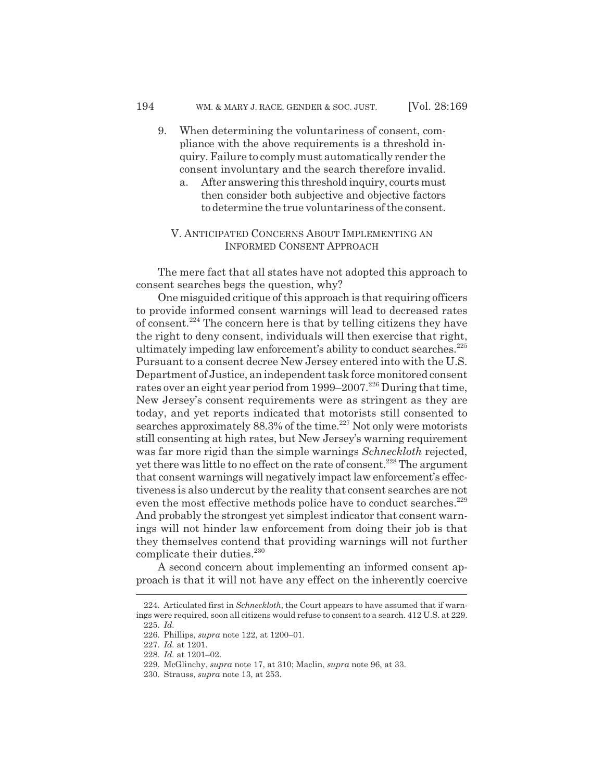- 9. When determining the voluntariness of consent, compliance with the above requirements is a threshold inquiry. Failure to comply must automatically render the consent involuntary and the search therefore invalid.
	- a. After answering this threshold inquiry, courts must then consider both subjective and objective factors to determine the true voluntariness of the consent.

## V. ANTICIPATED CONCERNS ABOUT IMPLEMENTING AN INFORMED CONSENT APPROACH

The mere fact that all states have not adopted this approach to consent searches begs the question, why?

One misguided critique of this approach is that requiring officers to provide informed consent warnings will lead to decreased rates of consent.224 The concern here is that by telling citizens they have the right to deny consent, individuals will then exercise that right, ultimately impeding law enforcement's ability to conduct searches.<sup>225</sup> Pursuant to a consent decree New Jersey entered into with the U.S. Department of Justice, an independent task force monitored consent rates over an eight year period from 1999–2007.226 During that time, New Jersey's consent requirements were as stringent as they are today, and yet reports indicated that motorists still consented to searches approximately 88.3% of the time.<sup>227</sup> Not only were motorists still consenting at high rates, but New Jersey's warning requirement was far more rigid than the simple warnings *Schneckloth* rejected, yet there was little to no effect on the rate of consent.<sup>228</sup> The argument that consent warnings will negatively impact law enforcement's effectiveness is also undercut by the reality that consent searches are not even the most effective methods police have to conduct searches.<sup>229</sup> And probably the strongest yet simplest indicator that consent warnings will not hinder law enforcement from doing their job is that they themselves contend that providing warnings will not further complicate their duties.<sup>230</sup>

A second concern about implementing an informed consent approach is that it will not have any effect on the inherently coercive

<sup>224.</sup> Articulated first in *Schneckloth*, the Court appears to have assumed that if warnings were required, soon all citizens would refuse to consent to a search. 412 U.S. at 229. 225. *Id.*

<sup>226.</sup> Phillips, *supra* note 122, at 1200–01.

<sup>227.</sup> *Id.* at 1201.

<sup>228.</sup> *Id.* at 1201–02.

<sup>229.</sup> McGlinchy, *supra* note 17, at 310; Maclin, *supra* note 96, at 33.

<sup>230.</sup> Strauss, *supra* note 13, at 253.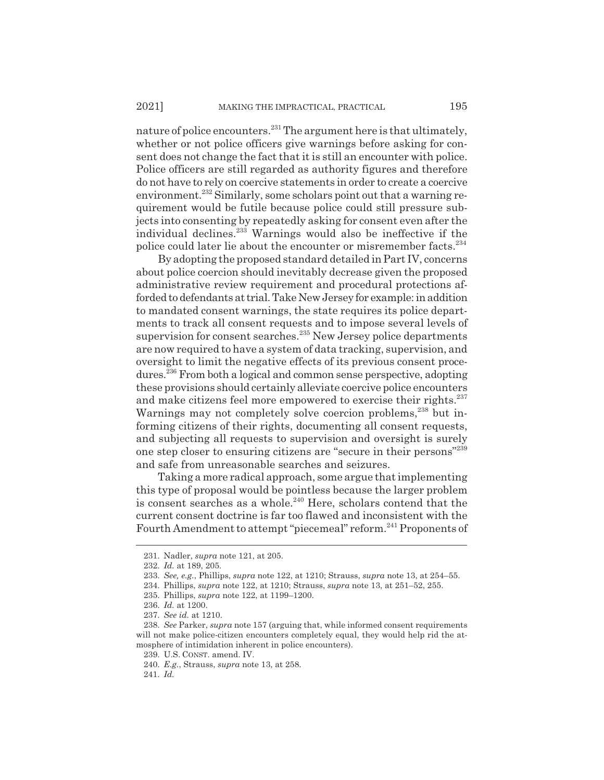nature of police encounters.<sup>231</sup> The argument here is that ultimately, whether or not police officers give warnings before asking for consent does not change the fact that it is still an encounter with police. Police officers are still regarded as authority figures and therefore do not have to rely on coercive statements in order to create a coercive environment.<sup>232</sup> Similarly, some scholars point out that a warning requirement would be futile because police could still pressure subjects into consenting by repeatedly asking for consent even after the individual declines.233 Warnings would also be ineffective if the police could later lie about the encounter or misremember facts.<sup>234</sup>

By adopting the proposed standard detailed in Part IV, concerns about police coercion should inevitably decrease given the proposed administrative review requirement and procedural protections afforded to defendants at trial. Take New Jersey for example: in addition to mandated consent warnings, the state requires its police departments to track all consent requests and to impose several levels of supervision for consent searches.<sup>235</sup> New Jersey police departments are now required to have a system of data tracking, supervision, and oversight to limit the negative effects of its previous consent procedures.236 From both a logical and common sense perspective, adopting these provisions should certainly alleviate coercive police encounters and make citizens feel more empowered to exercise their rights.<sup>237</sup> Warnings may not completely solve coercion problems,<sup>238</sup> but informing citizens of their rights, documenting all consent requests, and subjecting all requests to supervision and oversight is surely one step closer to ensuring citizens are "secure in their persons"239 and safe from unreasonable searches and seizures.

Taking a more radical approach, some argue that implementing this type of proposal would be pointless because the larger problem is consent searches as a whole.240 Here, scholars contend that the current consent doctrine is far too flawed and inconsistent with the Fourth Amendment to attempt "piecemeal" reform.<sup>241</sup> Proponents of

<sup>231.</sup> Nadler, *supra* note 121, at 205.

<sup>232.</sup> *Id.* at 189, 205.

<sup>233.</sup> *See, e.g.*, Phillips, *supra* note 122, at 1210; Strauss, *supra* note 13, at 254–55.

<sup>234.</sup> Phillips, *supra* note 122, at 1210; Strauss, *supra* note 13, at 251–52, 255.

<sup>235.</sup> Phillips, *supra* note 122, at 1199–1200.

<sup>236.</sup> *Id.* at 1200.

<sup>237.</sup> *See id.* at 1210.

<sup>238.</sup> *See* Parker, *supra* note 157 (arguing that, while informed consent requirements will not make police-citizen encounters completely equal, they would help rid the atmosphere of intimidation inherent in police encounters).

<sup>239.</sup> U.S. CONST. amend. IV.

<sup>240.</sup> *E.g.*, Strauss, *supra* note 13, at 258.

<sup>241.</sup> *Id.*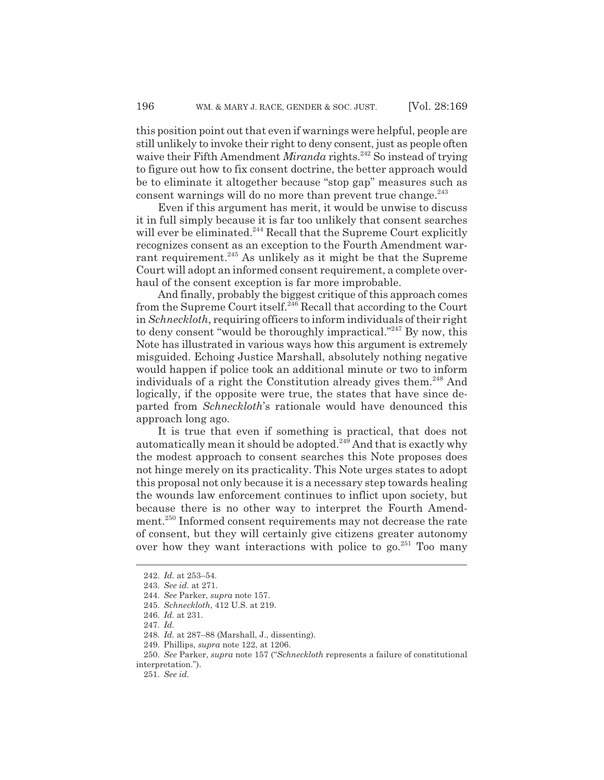this position point out that even if warnings were helpful, people are still unlikely to invoke their right to deny consent, just as people often waive their Fifth Amendment *Miranda* rights.<sup>242</sup> So instead of trying to figure out how to fix consent doctrine, the better approach would be to eliminate it altogether because "stop gap" measures such as consent warnings will do no more than prevent true change. $243$ 

Even if this argument has merit, it would be unwise to discuss it in full simply because it is far too unlikely that consent searches will ever be eliminated.<sup>244</sup> Recall that the Supreme Court explicitly recognizes consent as an exception to the Fourth Amendment warrant requirement.<sup>245</sup> As unlikely as it might be that the Supreme Court will adopt an informed consent requirement, a complete overhaul of the consent exception is far more improbable.

And finally, probably the biggest critique of this approach comes from the Supreme Court itself.246 Recall that according to the Court in *Schneckloth*, requiring officers to inform individuals of their right to deny consent "would be thoroughly impractical."<sup>247</sup> By now, this Note has illustrated in various ways how this argument is extremely misguided. Echoing Justice Marshall, absolutely nothing negative would happen if police took an additional minute or two to inform individuals of a right the Constitution already gives them.<sup>248</sup> And logically, if the opposite were true, the states that have since departed from *Schneckloth*'s rationale would have denounced this approach long ago.

It is true that even if something is practical, that does not automatically mean it should be adopted.<sup>249</sup> And that is exactly why the modest approach to consent searches this Note proposes does not hinge merely on its practicality. This Note urges states to adopt this proposal not only because it is a necessary step towards healing the wounds law enforcement continues to inflict upon society, but because there is no other way to interpret the Fourth Amendment.<sup>250</sup> Informed consent requirements may not decrease the rate of consent, but they will certainly give citizens greater autonomy over how they want interactions with police to go.<sup>251</sup> Too many

<sup>242.</sup> *Id.* at 253–54.

<sup>243.</sup> *See id.* at 271.

<sup>244.</sup> *See* Parker, *supra* note 157.

<sup>245.</sup> *Schneckloth*, 412 U.S. at 219.

<sup>246.</sup> *Id.* at 231.

<sup>247.</sup> *Id.*

<sup>248.</sup> *Id.* at 287–88 (Marshall, J., dissenting).

<sup>249.</sup> Phillips, *supra* note 122, at 1206.

<sup>250.</sup> *See* Parker, *supra* note 157 ("*Schneckloth* represents a failure of constitutional interpretation.").

<sup>251.</sup> *See id.*